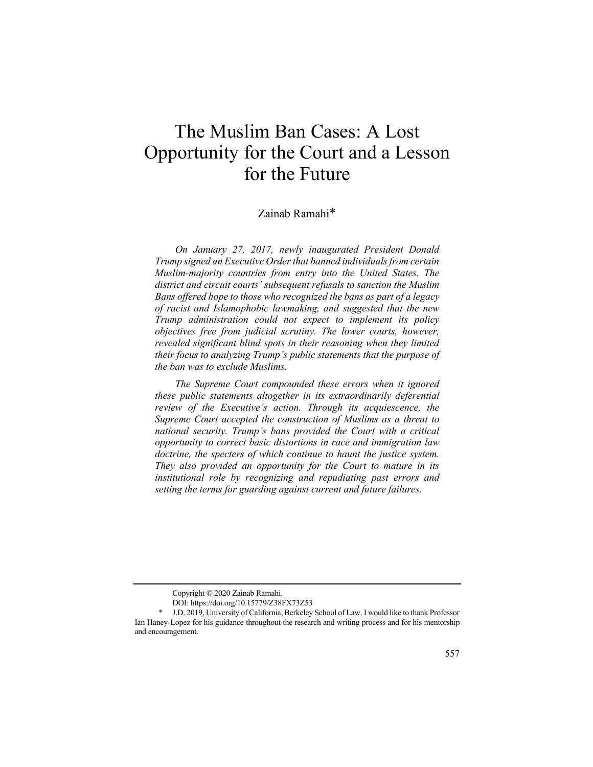# The Muslim Ban Cases: A Lost Opportunity for the Court and a Lesson for the Future

# Zainab Ramahi\*

*On January 27, 2017, newly inaugurated President Donald Trump signed an Executive Order that banned individuals from certain Muslim-majority countries from entry into the United States. The district and circuit courts' subsequent refusals to sanction the Muslim Bans offered hope to those who recognized the bans as part of a legacy of racist and Islamophobic lawmaking, and suggested that the new Trump administration could not expect to implement its policy objectives free from judicial scrutiny. The lower courts, however, revealed significant blind spots in their reasoning when they limited their focus to analyzing Trump's public statements that the purpose of the ban was to exclude Muslims.*

*The Supreme Court compounded these errors when it ignored these public statements altogether in its extraordinarily deferential review of the Executive's action. Through its acquiescence, the Supreme Court accepted the construction of Muslims as a threat to national security. Trump's bans provided the Court with a critical opportunity to correct basic distortions in race and immigration law doctrine, the specters of which continue to haunt the justice system. They also provided an opportunity for the Court to mature in its institutional role by recognizing and repudiating past errors and setting the terms for guarding against current and future failures.*

Copyright © 2020 Zainab Ramahi.

DOI: https://doi.org/10.15779/Z38FX73Z53

<sup>\*</sup> J.D. 2019, University of California, Berkeley School of Law. I would like to thank Professor Ian Haney-Lopez for his guidance throughout the research and writing process and for his mentorship and encouragement.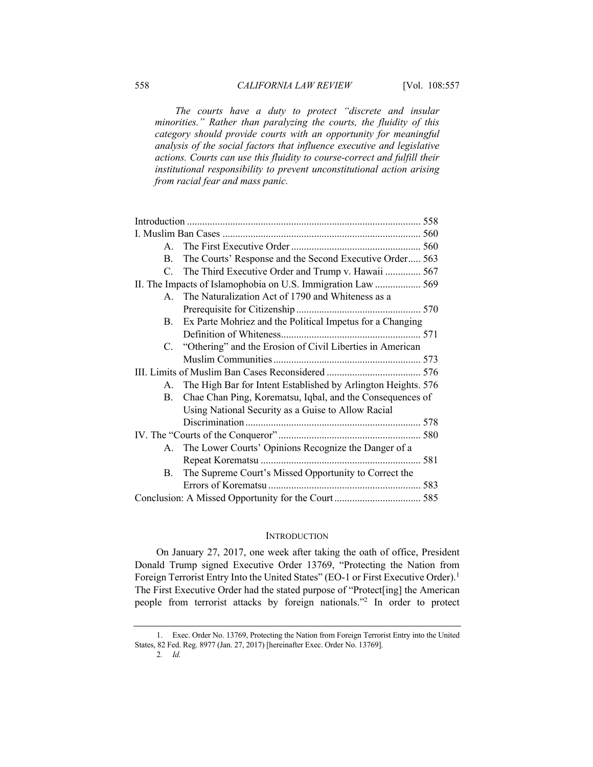*The courts have a duty to protect "discrete and insular minorities." Rather than paralyzing the courts, the fluidity of this category should provide courts with an opportunity for meaningful analysis of the social factors that influence executive and legislative actions. Courts can use this fluidity to course-correct and fulfill their institutional responsibility to prevent unconstitutional action arising from racial fear and mass panic.*

| $\mathbf{A}$                                                 |                                                               |  |
|--------------------------------------------------------------|---------------------------------------------------------------|--|
| B.                                                           | The Courts' Response and the Second Executive Order 563       |  |
| C.                                                           | The Third Executive Order and Trump v. Hawaii  567            |  |
| II. The Impacts of Islamophobia on U.S. Immigration Law  569 |                                                               |  |
| $A_{\cdot}$                                                  | The Naturalization Act of 1790 and Whiteness as a             |  |
|                                                              |                                                               |  |
| B.                                                           | Ex Parte Mohriez and the Political Impetus for a Changing     |  |
|                                                              |                                                               |  |
|                                                              | C. "Othering" and the Erosion of Civil Liberties in American  |  |
|                                                              |                                                               |  |
|                                                              |                                                               |  |
| A.                                                           | The High Bar for Intent Established by Arlington Heights. 576 |  |
| В.                                                           | Chae Chan Ping, Korematsu, Iqbal, and the Consequences of     |  |
|                                                              | Using National Security as a Guise to Allow Racial            |  |
|                                                              |                                                               |  |
|                                                              |                                                               |  |
| A.                                                           | The Lower Courts' Opinions Recognize the Danger of a          |  |
|                                                              |                                                               |  |
| B.                                                           | The Supreme Court's Missed Opportunity to Correct the         |  |
|                                                              |                                                               |  |
|                                                              |                                                               |  |

#### **INTRODUCTION**

On January 27, 2017, one week after taking the oath of office, President Donald Trump signed Executive Order 13769, "Protecting the Nation from Foreign Terrorist Entry Into the United States" (EO-1 or First Executive Order).<sup>1</sup> The First Executive Order had the stated purpose of "Protect[ing] the American people from terrorist attacks by foreign nationals."2 In order to protect

2*. Id.*

<sup>1.</sup> Exec. Order No. 13769, Protecting the Nation from Foreign Terrorist Entry into the United States, 82 Fed. Reg. 8977 (Jan. 27, 2017) [hereinafter Exec. Order No. 13769].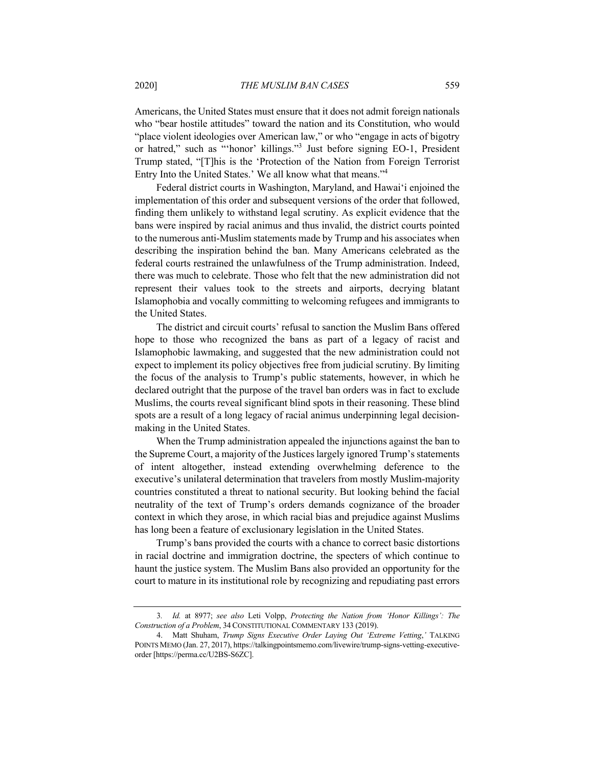Americans, the United States must ensure that it does not admit foreign nationals who "bear hostile attitudes" toward the nation and its Constitution, who would "place violent ideologies over American law," or who "engage in acts of bigotry or hatred," such as "'honor' killings."3 Just before signing EO-1, President Trump stated, "[T]his is the 'Protection of the Nation from Foreign Terrorist Entry Into the United States.' We all know what that means."4

Federal district courts in Washington, Maryland, and Hawai'i enjoined the implementation of this order and subsequent versions of the order that followed, finding them unlikely to withstand legal scrutiny. As explicit evidence that the bans were inspired by racial animus and thus invalid, the district courts pointed to the numerous anti-Muslim statements made by Trump and his associates when describing the inspiration behind the ban. Many Americans celebrated as the federal courts restrained the unlawfulness of the Trump administration. Indeed, there was much to celebrate. Those who felt that the new administration did not represent their values took to the streets and airports, decrying blatant Islamophobia and vocally committing to welcoming refugees and immigrants to the United States.

The district and circuit courts' refusal to sanction the Muslim Bans offered hope to those who recognized the bans as part of a legacy of racist and Islamophobic lawmaking, and suggested that the new administration could not expect to implement its policy objectives free from judicial scrutiny. By limiting the focus of the analysis to Trump's public statements, however, in which he declared outright that the purpose of the travel ban orders was in fact to exclude Muslims, the courts reveal significant blind spots in their reasoning. These blind spots are a result of a long legacy of racial animus underpinning legal decisionmaking in the United States.

When the Trump administration appealed the injunctions against the ban to the Supreme Court, a majority of the Justices largely ignored Trump's statements of intent altogether, instead extending overwhelming deference to the executive's unilateral determination that travelers from mostly Muslim-majority countries constituted a threat to national security. But looking behind the facial neutrality of the text of Trump's orders demands cognizance of the broader context in which they arose, in which racial bias and prejudice against Muslims has long been a feature of exclusionary legislation in the United States.

Trump's bans provided the courts with a chance to correct basic distortions in racial doctrine and immigration doctrine, the specters of which continue to haunt the justice system. The Muslim Bans also provided an opportunity for the court to mature in its institutional role by recognizing and repudiating past errors

<sup>3</sup>*. Id.* at 8977; *see also* Leti Volpp, *Protecting the Nation from 'Honor Killings': The Construction of a Problem*, 34 CONSTITUTIONAL COMMENTARY 133 (2019).

<sup>4.</sup> Matt Shuham, *Trump Signs Executive Order Laying Out 'Extreme Vetting*,*'* TALKING POINTS MEMO (Jan. 27, 2017), https://talkingpointsmemo.com/livewire/trump-signs-vetting-executiveorder [https://perma.cc/U2BS-S6ZC].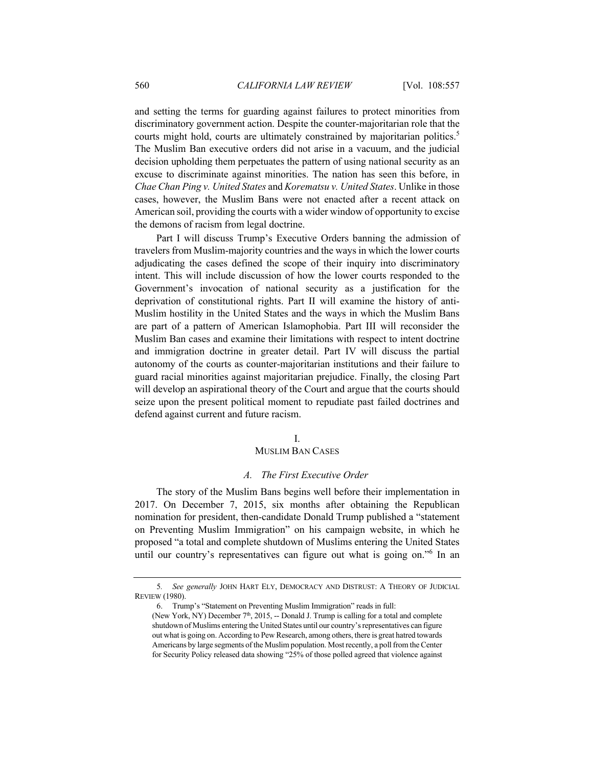and setting the terms for guarding against failures to protect minorities from discriminatory government action. Despite the counter-majoritarian role that the courts might hold, courts are ultimately constrained by majoritarian politics.<sup>5</sup> The Muslim Ban executive orders did not arise in a vacuum, and the judicial decision upholding them perpetuates the pattern of using national security as an excuse to discriminate against minorities. The nation has seen this before, in *Chae Chan Ping v. United States* and *Korematsu v. United States*. Unlike in those cases, however, the Muslim Bans were not enacted after a recent attack on American soil, providing the courts with a wider window of opportunity to excise the demons of racism from legal doctrine.

Part I will discuss Trump's Executive Orders banning the admission of travelers from Muslim-majority countries and the ways in which the lower courts adjudicating the cases defined the scope of their inquiry into discriminatory intent. This will include discussion of how the lower courts responded to the Government's invocation of national security as a justification for the deprivation of constitutional rights. Part II will examine the history of anti-Muslim hostility in the United States and the ways in which the Muslim Bans are part of a pattern of American Islamophobia. Part III will reconsider the Muslim Ban cases and examine their limitations with respect to intent doctrine and immigration doctrine in greater detail. Part IV will discuss the partial autonomy of the courts as counter-majoritarian institutions and their failure to guard racial minorities against majoritarian prejudice. Finally, the closing Part will develop an aspirational theory of the Court and argue that the courts should seize upon the present political moment to repudiate past failed doctrines and defend against current and future racism.

## I.

#### MUSLIM BAN CASES

#### *A. The First Executive Order*

The story of the Muslim Bans begins well before their implementation in 2017. On December 7, 2015, six months after obtaining the Republican nomination for president, then-candidate Donald Trump published a "statement on Preventing Muslim Immigration" on his campaign website, in which he proposed "a total and complete shutdown of Muslims entering the United States until our country's representatives can figure out what is going on."<sup>6</sup> In an

<sup>5</sup>*. See generally* JOHN HART ELY, DEMOCRACY AND DISTRUST: A THEORY OF JUDICIAL REVIEW (1980).

<sup>6.</sup> Trump's "Statement on Preventing Muslim Immigration" reads in full:

<sup>(</sup>New York, NY) December  $7<sup>th</sup>$ , 2015, -- Donald J. Trump is calling for a total and complete shutdown of Muslims entering the United States until our country's representatives can figure out what is going on. According to Pew Research, among others, there is great hatred towards Americans by large segments of the Muslim population. Most recently, a poll from the Center for Security Policy released data showing "25% of those polled agreed that violence against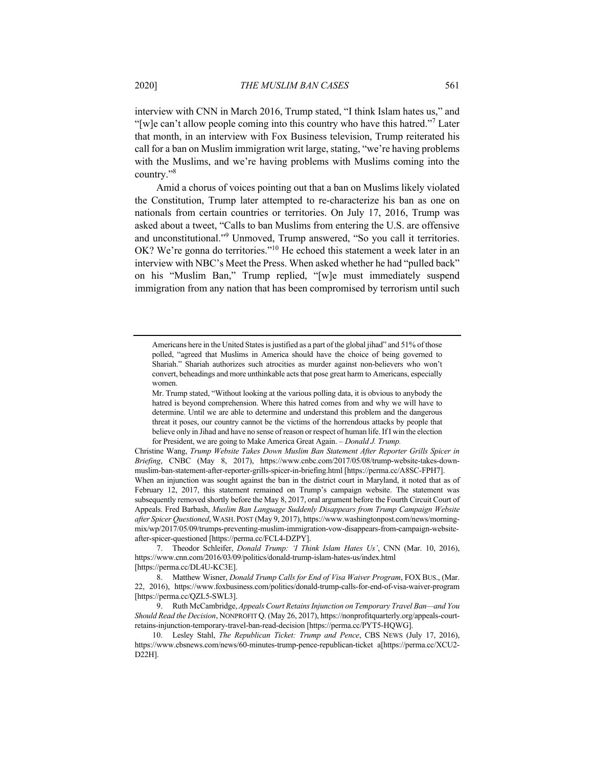interview with CNN in March 2016, Trump stated, "I think Islam hates us," and "[w]e can't allow people coming into this country who have this hatred."<sup>7</sup> Later that month, in an interview with Fox Business television, Trump reiterated his call for a ban on Muslim immigration writ large, stating, "we're having problems with the Muslims, and we're having problems with Muslims coming into the country."8

Amid a chorus of voices pointing out that a ban on Muslims likely violated the Constitution, Trump later attempted to re-characterize his ban as one on nationals from certain countries or territories. On July 17, 2016, Trump was asked about a tweet, "Calls to ban Muslims from entering the U.S. are offensive and unconstitutional."<sup>9</sup> Unmoved, Trump answered, "So you call it territories. OK? We're gonna do territories."10 He echoed this statement a week later in an interview with NBC's Meet the Press. When asked whether he had "pulled back" on his "Muslim Ban," Trump replied, "[w]e must immediately suspend immigration from any nation that has been compromised by terrorism until such

Christine Wang, *Trump Website Takes Down Muslim Ban Statement After Reporter Grills Spicer in Briefing*, CNBC (May 8, 2017), https://www.cnbc.com/2017/05/08/trump-website-takes-downmuslim-ban-statement-after-reporter-grills-spicer-in-briefing.html [https://perma.cc/A8SC-FPH7]. When an injunction was sought against the ban in the district court in Maryland, it noted that as of February 12, 2017, this statement remained on Trump's campaign website. The statement was subsequently removed shortly before the May 8, 2017, oral argument before the Fourth Circuit Court of Appeals. Fred Barbash, *Muslim Ban Language Suddenly Disappears from Trump Campaign Website after Spicer Questioned*, WASH. POST (May 9, 2017), https://www.washingtonpost.com/news/morningmix/wp/2017/05/09/trumps-preventing-muslim-immigration-vow-disappears-from-campaign-websiteafter-spicer-questioned [https://perma.cc/FCL4-DZPY].

7. Theodor Schleifer, *Donald Trump: 'I Think Islam Hates Us'*, CNN (Mar. 10, 2016), https://www.cnn.com/2016/03/09/politics/donald-trump-islam-hates-us/index.html [https://perma.cc/DL4U-KC3E].

8. Matthew Wisner, *Donald Trump Calls for End of Visa Waiver Program*, FOX BUS., (Mar. 22, 2016), https://www.foxbusiness.com/politics/donald-trump-calls-for-end-of-visa-waiver-program [https://perma.cc/QZL5-SWL3].

9. Ruth McCambridge, *Appeals Court Retains Injunction on Temporary Travel Ban—and You Should Read the Decision*, NONPROFIT Q. (May 26, 2017), https://nonprofitquarterly.org/appeals-courtretains-injunction-temporary-travel-ban-read-decision [https://perma.cc/PYT5-HQWG].

10. Lesley Stahl, *The Republican Ticket: Trump and Pence*, CBS NEWS (July 17, 2016), https://www.cbsnews.com/news/60-minutes-trump-pence-republican-ticket a[https://perma.cc/XCU2- D22H].

Americans here in the United States is justified as a part of the global jihad" and 51% of those polled, "agreed that Muslims in America should have the choice of being governed to Shariah." Shariah authorizes such atrocities as murder against non-believers who won't convert, beheadings and more unthinkable acts that pose great harm to Americans, especially women.

Mr. Trump stated, "Without looking at the various polling data, it is obvious to anybody the hatred is beyond comprehension. Where this hatred comes from and why we will have to determine. Until we are able to determine and understand this problem and the dangerous threat it poses, our country cannot be the victims of the horrendous attacks by people that believe only in Jihad and have no sense of reason or respect of human life. If I win the election for President, we are going to Make America Great Again. – *Donald J. Trump.*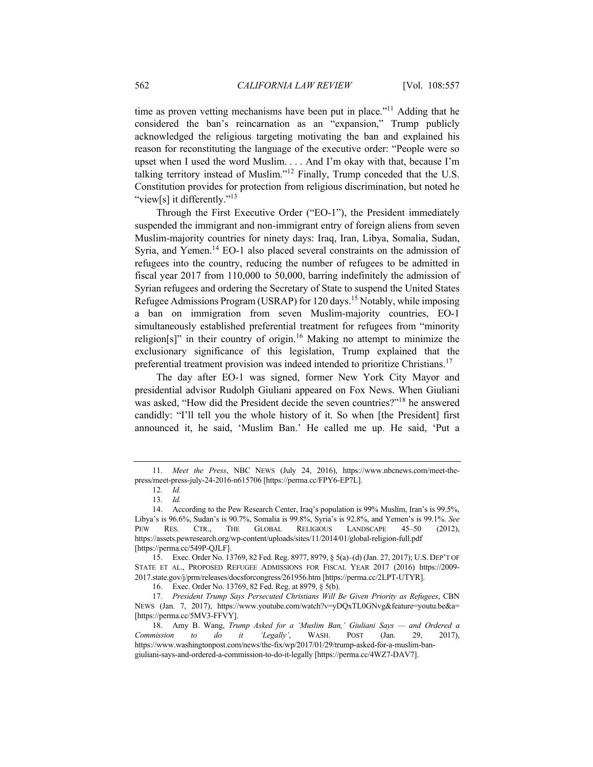time as proven vetting mechanisms have been put in place."<sup>11</sup> Adding that he considered the ban's reincarnation as an "expansion," Trump publicly acknowledged the religious targeting motivating the ban and explained his reason for reconstituting the language of the executive order: "People were so upset when I used the word Muslim. . . . And I'm okay with that, because I'm talking territory instead of Muslim."<sup>12</sup> Finally, Trump conceded that the U.S. Constitution provides for protection from religious discrimination, but noted he "view[s] it differently."<sup>13</sup>

Through the First Executive Order ("EO-1"), the President immediately suspended the immigrant and non-immigrant entry of foreign aliens from seven Muslim-majority countries for ninety days: Iraq, Iran, Libya, Somalia, Sudan, Syria, and Yemen.<sup>14</sup> EO-1 also placed several constraints on the admission of refugees into the country, reducing the number of refugees to be admitted in fiscal year 2017 from 110,000 to 50,000, barring indefinitely the admission of Syrian refugees and ordering the Secretary of State to suspend the United States Refugee Admissions Program (USRAP) for 120 days.<sup>15</sup> Notably, while imposing a ban on immigration from seven Muslim-majority countries, EO-1 simultaneously established preferential treatment for refugees from "minority religion[s]" in their country of origin.<sup>16</sup> Making no attempt to minimize the exclusionary significance of this legislation, Trump explained that the preferential treatment provision was indeed intended to prioritize Christians.<sup>17</sup>

The day after EO-1 was signed, former New York City Mayor and presidential advisor Rudolph Giuliani appeared on Fox News. When Giuliani was asked, "How did the President decide the seven countries?"<sup>18</sup> he answered candidly: "I'll tell you the whole history of it. So when [the President] first announced it, he said, 'Muslim Ban.' He called me up. He said, 'Put a

<sup>11</sup>*. Meet the Press*, NBC NEWS (July 24, 2016), https://www.nbcnews.com/meet-thepress/meet-press-july-24-2016-n615706 [https://perma.cc/FPY6-EP7L].

<sup>12</sup>*. Id.*

<sup>13</sup>*. Id.*

<sup>14.</sup> According to the Pew Research Center, Iraq's population is 99% Muslim, Iran's is 99.5%, Libya's is 96.6%, Sudan's is 90.7%, Somalia is 99.8%, Syria's is 92.8%, and Yemen's is 99.1%. *See* PEW RES. CTR., THE GLOBAL RELIGIOUS LANDSCAPE 45–50 (2012), https://assets.pewresearch.org/wp-content/uploads/sites/11/2014/01/global-religion-full.pdf [https://perma.cc/549P-QJLF].

<sup>15.</sup> Exec. Order No. 13769, 82 Fed. Reg. 8977, 8979, § 5(a)–(d) (Jan. 27, 2017); U.S. DEP'T OF STATE ET AL., PROPOSED REFUGEE ADMISSIONS FOR FISCAL YEAR 2017 (2016) https://2009- 2017.state.gov/j/prm/releases/docsforcongress/261956.htm [https://perma.cc/2LPT-UTYR].

<sup>16.</sup> Exec. Order No. 13769, 82 Fed. Reg. at 8979, § 5(b).

<sup>17</sup>*. President Trump Says Persecuted Christians Will Be Given Priority as Refugees*, CBN NEWS (Jan. 7, 2017), https://www.youtube.com/watch?v=yDQxTL0GNvg&feature=youtu.be&a= [https://perma.cc/5MV3-FFVY].

<sup>18.</sup> Amy B. Wang, *Trump Asked for a 'Muslim Ban,' Giuliani Says — and Ordered a Commission to do it 'Legally'*, WASH. POST (Jan. 29, 2017), https://www.washingtonpost.com/news/the-fix/wp/2017/01/29/trump-asked-for-a-muslim-bangiuliani-says-and-ordered-a-commission-to-do-it-legally [https://perma.cc/4WZ7-DAV7].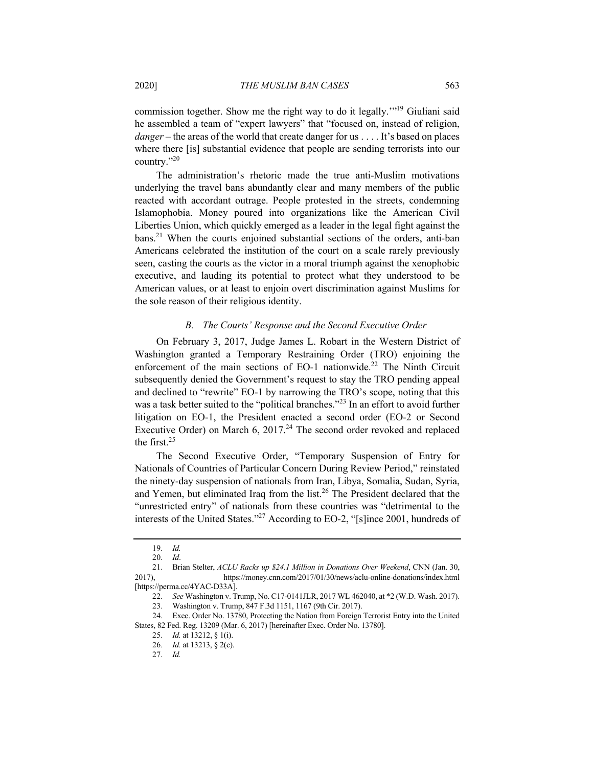commission together. Show me the right way to do it legally.'"19 Giuliani said he assembled a team of "expert lawyers" that "focused on, instead of religion, *danger* – the areas of the world that create danger for us . . . . It's based on places where there [is] substantial evidence that people are sending terrorists into our country."20

The administration's rhetoric made the true anti-Muslim motivations underlying the travel bans abundantly clear and many members of the public reacted with accordant outrage. People protested in the streets, condemning Islamophobia. Money poured into organizations like the American Civil Liberties Union, which quickly emerged as a leader in the legal fight against the bans.<sup>21</sup> When the courts enjoined substantial sections of the orders, anti-ban Americans celebrated the institution of the court on a scale rarely previously seen, casting the courts as the victor in a moral triumph against the xenophobic executive, and lauding its potential to protect what they understood to be American values, or at least to enjoin overt discrimination against Muslims for the sole reason of their religious identity.

## *B. The Courts' Response and the Second Executive Order*

On February 3, 2017, Judge James L. Robart in the Western District of Washington granted a Temporary Restraining Order (TRO) enjoining the enforcement of the main sections of EO-1 nationwide.<sup>22</sup> The Ninth Circuit subsequently denied the Government's request to stay the TRO pending appeal and declined to "rewrite" EO-1 by narrowing the TRO's scope, noting that this was a task better suited to the "political branches."<sup>23</sup> In an effort to avoid further litigation on EO-1, the President enacted a second order (EO-2 or Second Executive Order) on March 6, 2017.<sup>24</sup> The second order revoked and replaced the first.<sup>25</sup>

The Second Executive Order, "Temporary Suspension of Entry for Nationals of Countries of Particular Concern During Review Period," reinstated the ninety-day suspension of nationals from Iran, Libya, Somalia, Sudan, Syria, and Yemen, but eliminated Iraq from the list.<sup>26</sup> The President declared that the "unrestricted entry" of nationals from these countries was "detrimental to the interests of the United States."27 According to EO-2, "[s]ince 2001, hundreds of

<sup>19</sup>*. Id.*

<sup>20</sup>*. Id*.

<sup>21.</sup> Brian Stelter, *ACLU Racks up \$24.1 Million in Donations Over Weekend*, CNN (Jan. 30, 2017), https://money.cnn.com/2017/01/30/news/aclu-online-donations/index.html [https://perma.cc/4YAC-D33A].

<sup>22</sup>*. See* Washington v. Trump, No. C17-0141JLR, 2017 WL 462040, at \*2 (W.D. Wash. 2017). 23. Washington v. Trump, 847 F.3d 1151, 1167 (9th Cir. 2017).

<sup>24.</sup> Exec. Order No. 13780, Protecting the Nation from Foreign Terrorist Entry into the United States, 82 Fed. Reg. 13209 (Mar. 6, 2017) [hereinafter Exec. Order No. 13780].

<sup>25</sup>*. Id.* at 13212, § 1(i).

<sup>26</sup>*. Id.* at 13213, § 2(c).

<sup>27</sup>*. Id.*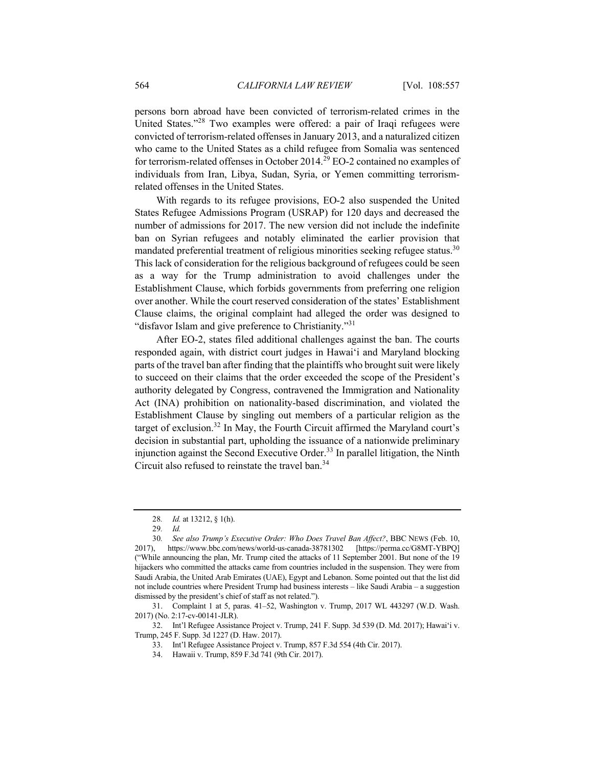persons born abroad have been convicted of terrorism-related crimes in the United States."<sup>28</sup> Two examples were offered: a pair of Iraqi refugees were convicted of terrorism-related offenses in January 2013, and a naturalized citizen who came to the United States as a child refugee from Somalia was sentenced for terrorism-related offenses in October 2014.<sup>29</sup> EO-2 contained no examples of individuals from Iran, Libya, Sudan, Syria, or Yemen committing terrorismrelated offenses in the United States.

With regards to its refugee provisions, EO-2 also suspended the United States Refugee Admissions Program (USRAP) for 120 days and decreased the number of admissions for 2017. The new version did not include the indefinite ban on Syrian refugees and notably eliminated the earlier provision that mandated preferential treatment of religious minorities seeking refugee status.<sup>30</sup> This lack of consideration for the religious background of refugees could be seen as a way for the Trump administration to avoid challenges under the Establishment Clause, which forbids governments from preferring one religion over another. While the court reserved consideration of the states' Establishment Clause claims, the original complaint had alleged the order was designed to "disfavor Islam and give preference to Christianity."<sup>31</sup>

After EO-2, states filed additional challenges against the ban. The courts responded again, with district court judges in Hawai'i and Maryland blocking parts of the travel ban after finding that the plaintiffs who brought suit were likely to succeed on their claims that the order exceeded the scope of the President's authority delegated by Congress, contravened the Immigration and Nationality Act (INA) prohibition on nationality-based discrimination, and violated the Establishment Clause by singling out members of a particular religion as the target of exclusion.<sup>32</sup> In May, the Fourth Circuit affirmed the Maryland court's decision in substantial part, upholding the issuance of a nationwide preliminary injunction against the Second Executive Order.<sup>33</sup> In parallel litigation, the Ninth Circuit also refused to reinstate the travel ban.<sup>34</sup>

31. Complaint 1 at 5, paras. 41–52, Washington v. Trump, 2017 WL 443297 (W.D. Wash. 2017) (No. 2:17-cv-00141-JLR).

32. Int'l Refugee Assistance Project v. Trump, 241 F. Supp. 3d 539 (D. Md. 2017); Hawai'i v. Trump, 245 F. Supp. 3d 1227 (D. Haw. 2017).

33. Int'l Refugee Assistance Project v. Trump, 857 F.3d 554 (4th Cir. 2017).

<sup>28</sup>*. Id.* at 13212, § 1(h).

<sup>29</sup>*. Id.*

<sup>30</sup>*. See also Trump's Executive Order: Who Does Travel Ban Affect?*, BBC NEWS (Feb. 10, 2017), https://www.bbc.com/news/world-us-canada-38781302 [https://perma.cc/G8MT-YBPQ] ("While announcing the plan, Mr. Trump cited the attacks of 11 September 2001. But none of the 19 hijackers who committed the attacks came from countries included in the suspension. They were from Saudi Arabia, the United Arab Emirates (UAE), Egypt and Lebanon. Some pointed out that the list did not include countries where President Trump had business interests – like Saudi Arabia – a suggestion dismissed by the president's chief of staff as not related.").

<sup>34.</sup> Hawaii v. Trump, 859 F.3d 741 (9th Cir. 2017).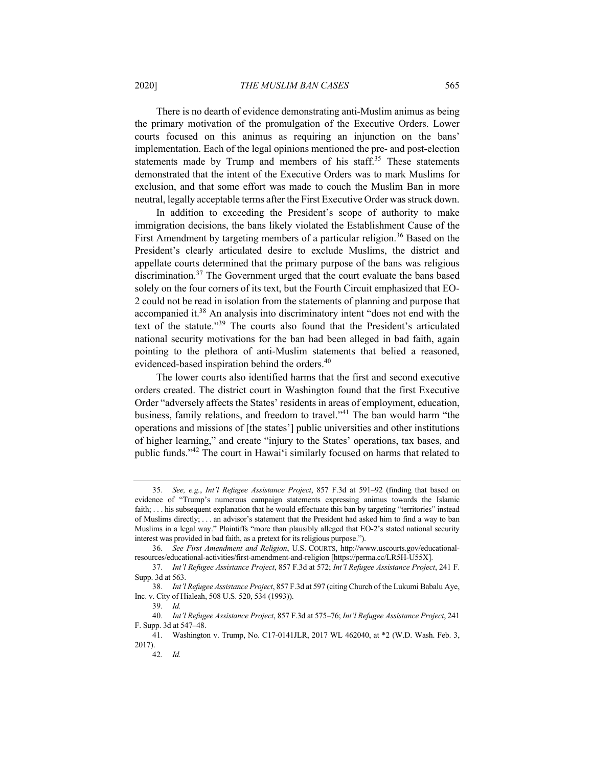There is no dearth of evidence demonstrating anti-Muslim animus as being the primary motivation of the promulgation of the Executive Orders. Lower courts focused on this animus as requiring an injunction on the bans' implementation. Each of the legal opinions mentioned the pre- and post-election statements made by Trump and members of his staff.<sup>35</sup> These statements demonstrated that the intent of the Executive Orders was to mark Muslims for exclusion, and that some effort was made to couch the Muslim Ban in more neutral, legally acceptable terms after the First Executive Order was struck down.

In addition to exceeding the President's scope of authority to make immigration decisions, the bans likely violated the Establishment Cause of the First Amendment by targeting members of a particular religion.<sup>36</sup> Based on the President's clearly articulated desire to exclude Muslims, the district and appellate courts determined that the primary purpose of the bans was religious discrimination.<sup>37</sup> The Government urged that the court evaluate the bans based solely on the four corners of its text, but the Fourth Circuit emphasized that EO-2 could not be read in isolation from the statements of planning and purpose that accompanied it.38 An analysis into discriminatory intent "does not end with the text of the statute."<sup>39</sup> The courts also found that the President's articulated national security motivations for the ban had been alleged in bad faith, again pointing to the plethora of anti-Muslim statements that belied a reasoned, evidenced-based inspiration behind the orders.<sup>40</sup>

The lower courts also identified harms that the first and second executive orders created. The district court in Washington found that the first Executive Order "adversely affects the States' residents in areas of employment, education, business, family relations, and freedom to travel."<sup>41</sup> The ban would harm "the operations and missions of [the states'] public universities and other institutions of higher learning," and create "injury to the States' operations, tax bases, and public funds."42 The court in Hawai'i similarly focused on harms that related to

<sup>35</sup>*. See, e.g.*, *Int'l Refugee Assistance Project*, 857 F.3d at 591–92 (finding that based on evidence of "Trump's numerous campaign statements expressing animus towards the Islamic faith; . . . his subsequent explanation that he would effectuate this ban by targeting "territories" instead of Muslims directly; . . . an advisor's statement that the President had asked him to find a way to ban Muslims in a legal way." Plaintiffs "more than plausibly alleged that EO-2's stated national security interest was provided in bad faith, as a pretext for its religious purpose.").

<sup>36</sup>*. See First Amendment and Religion*, U.S. COURTS, http://www.uscourts.gov/educationalresources/educational-activities/first-amendment-and-religion [https://perma.cc/LR5H-U55X].

<sup>37</sup>*. Int'l Refugee Assistance Project*, 857 F.3d at 572; *Int'l Refugee Assistance Project*, 241 F. Supp. 3d at 563.

<sup>38</sup>*. Int'l Refugee Assistance Project*, 857 F.3d at 597 (citing Church of the Lukumi Babalu Aye, Inc. v. City of Hialeah, 508 U.S. 520, 534 (1993)).

<sup>39</sup>*. Id.*

<sup>40</sup>*. Int'l Refugee Assistance Project*, 857 F.3d at 575–76; *Int'l Refugee Assistance Project*, 241 F. Supp. 3d at 547–48.

<sup>41.</sup> Washington v. Trump, No. C17-0141JLR, 2017 WL 462040, at \*2 (W.D. Wash. Feb. 3, 2017).

<sup>42</sup>*. Id.*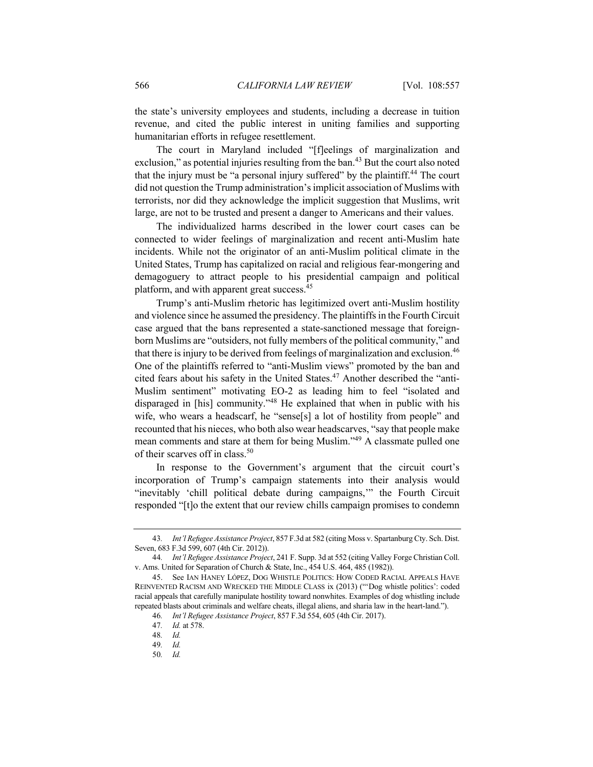the state's university employees and students, including a decrease in tuition revenue, and cited the public interest in uniting families and supporting humanitarian efforts in refugee resettlement.

The court in Maryland included "[f]eelings of marginalization and exclusion," as potential injuries resulting from the ban.<sup>43</sup> But the court also noted that the injury must be "a personal injury suffered" by the plaintiff.<sup>44</sup> The court did not question the Trump administration's implicit association of Muslims with terrorists, nor did they acknowledge the implicit suggestion that Muslims, writ large, are not to be trusted and present a danger to Americans and their values.

The individualized harms described in the lower court cases can be connected to wider feelings of marginalization and recent anti-Muslim hate incidents. While not the originator of an anti-Muslim political climate in the United States, Trump has capitalized on racial and religious fear-mongering and demagoguery to attract people to his presidential campaign and political platform, and with apparent great success.<sup>45</sup>

Trump's anti-Muslim rhetoric has legitimized overt anti-Muslim hostility and violence since he assumed the presidency. The plaintiffs in the Fourth Circuit case argued that the bans represented a state-sanctioned message that foreignborn Muslims are "outsiders, not fully members of the political community," and that there is injury to be derived from feelings of marginalization and exclusion.<sup>46</sup> One of the plaintiffs referred to "anti-Muslim views" promoted by the ban and cited fears about his safety in the United States.<sup>47</sup> Another described the "anti-Muslim sentiment" motivating EO-2 as leading him to feel "isolated and disparaged in [his] community.<sup>348</sup> He explained that when in public with his wife, who wears a headscarf, he "sense[s] a lot of hostility from people" and recounted that his nieces, who both also wear headscarves, "say that people make mean comments and stare at them for being Muslim."<sup>49</sup> A classmate pulled one of their scarves off in class.50

In response to the Government's argument that the circuit court's incorporation of Trump's campaign statements into their analysis would "inevitably 'chill political debate during campaigns,'" the Fourth Circuit responded "[t]o the extent that our review chills campaign promises to condemn

<sup>43</sup>*. Int'l Refugee Assistance Project*, 857 F.3d at 582 (citing Moss v. Spartanburg Cty. Sch. Dist. Seven, 683 F.3d 599, 607 (4th Cir. 2012)).

<sup>44</sup>*. Int'l Refugee Assistance Project*, 241 F. Supp. 3d at 552 (citing Valley Forge Christian Coll. v. Ams. United for Separation of Church & State, Inc., 454 U.S. 464, 485 (1982)).

<sup>45.</sup> See IAN HANEY LÓPEZ, DOG WHISTLE POLITICS: HOW CODED RACIAL APPEALS HAVE REINVENTED RACISM AND WRECKED THE MIDDLE CLASS ix (2013) ("'Dog whistle politics': coded racial appeals that carefully manipulate hostility toward nonwhites. Examples of dog whistling include repeated blasts about criminals and welfare cheats, illegal aliens, and sharia law in the heart-land.").

<sup>46</sup>*. Int'l Refugee Assistance Project*, 857 F.3d 554, 605 (4th Cir. 2017).

<sup>47</sup>*. Id.* at 578.

<sup>48</sup>*. Id.*

<sup>49</sup>*. Id.*

<sup>50</sup>*. Id.*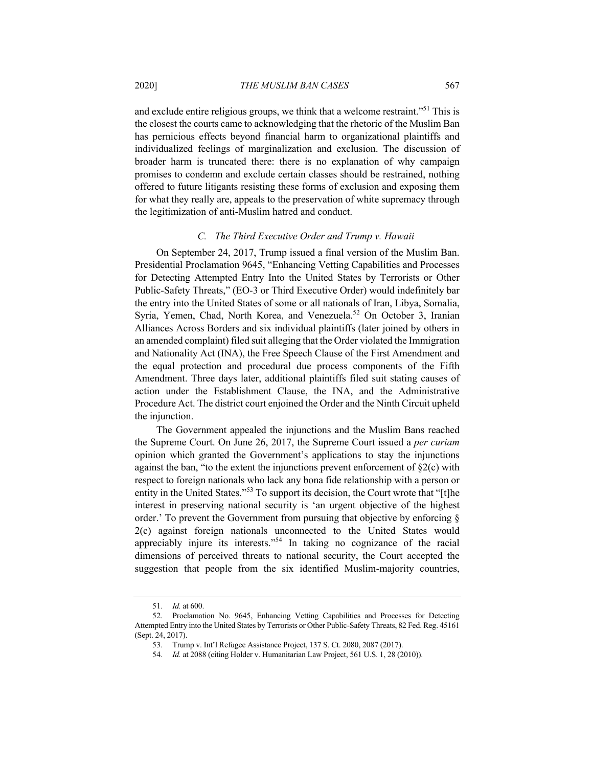and exclude entire religious groups, we think that a welcome restraint."51 This is the closest the courts came to acknowledging that the rhetoric of the Muslim Ban has pernicious effects beyond financial harm to organizational plaintiffs and individualized feelings of marginalization and exclusion. The discussion of broader harm is truncated there: there is no explanation of why campaign promises to condemn and exclude certain classes should be restrained, nothing offered to future litigants resisting these forms of exclusion and exposing them for what they really are, appeals to the preservation of white supremacy through the legitimization of anti-Muslim hatred and conduct.

### *C. The Third Executive Order and Trump v. Hawaii*

On September 24, 2017, Trump issued a final version of the Muslim Ban. Presidential Proclamation 9645, "Enhancing Vetting Capabilities and Processes for Detecting Attempted Entry Into the United States by Terrorists or Other Public-Safety Threats," (EO-3 or Third Executive Order) would indefinitely bar the entry into the United States of some or all nationals of Iran, Libya, Somalia, Syria, Yemen, Chad, North Korea, and Venezuela.<sup>52</sup> On October 3, Iranian Alliances Across Borders and six individual plaintiffs (later joined by others in an amended complaint) filed suit alleging that the Order violated the Immigration and Nationality Act (INA), the Free Speech Clause of the First Amendment and the equal protection and procedural due process components of the Fifth Amendment. Three days later, additional plaintiffs filed suit stating causes of action under the Establishment Clause, the INA, and the Administrative Procedure Act. The district court enjoined the Order and the Ninth Circuit upheld the injunction.

The Government appealed the injunctions and the Muslim Bans reached the Supreme Court. On June 26, 2017, the Supreme Court issued a *per curiam* opinion which granted the Government's applications to stay the injunctions against the ban, "to the extent the injunctions prevent enforcement of  $\S2(c)$  with respect to foreign nationals who lack any bona fide relationship with a person or entity in the United States."<sup>53</sup> To support its decision, the Court wrote that "[t]he interest in preserving national security is 'an urgent objective of the highest order.' To prevent the Government from pursuing that objective by enforcing § 2(c) against foreign nationals unconnected to the United States would appreciably injure its interests."54 In taking no cognizance of the racial dimensions of perceived threats to national security, the Court accepted the suggestion that people from the six identified Muslim-majority countries,

<sup>51</sup>*. Id.* at 600.

<sup>52.</sup> Proclamation No. 9645, Enhancing Vetting Capabilities and Processes for Detecting Attempted Entry into the United States by Terrorists or Other Public-Safety Threats, 82 Fed. Reg. 45161 (Sept. 24, 2017).

<sup>53.</sup> Trump v. Int'l Refugee Assistance Project, 137 S. Ct. 2080, 2087 (2017).

<sup>54</sup>*. Id.* at 2088 (citing Holder v. Humanitarian Law Project, 561 U.S. 1, 28 (2010)).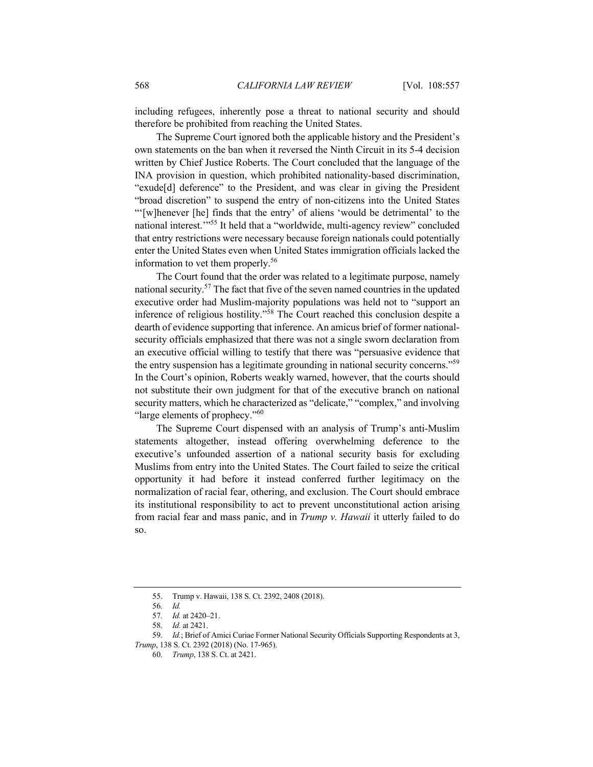including refugees, inherently pose a threat to national security and should therefore be prohibited from reaching the United States.

The Supreme Court ignored both the applicable history and the President's own statements on the ban when it reversed the Ninth Circuit in its 5-4 decision written by Chief Justice Roberts. The Court concluded that the language of the INA provision in question, which prohibited nationality-based discrimination, "exude[d] deference" to the President, and was clear in giving the President "broad discretion" to suspend the entry of non-citizens into the United States "'[w]henever [he] finds that the entry' of aliens 'would be detrimental' to the national interest."<sup>55</sup> It held that a "worldwide, multi-agency review" concluded that entry restrictions were necessary because foreign nationals could potentially enter the United States even when United States immigration officials lacked the information to vet them properly.<sup>56</sup>

The Court found that the order was related to a legitimate purpose, namely national security.<sup>57</sup> The fact that five of the seven named countries in the updated executive order had Muslim-majority populations was held not to "support an inference of religious hostility."<sup>58</sup> The Court reached this conclusion despite a dearth of evidence supporting that inference. An amicus brief of former nationalsecurity officials emphasized that there was not a single sworn declaration from an executive official willing to testify that there was "persuasive evidence that the entry suspension has a legitimate grounding in national security concerns."59 In the Court's opinion, Roberts weakly warned, however, that the courts should not substitute their own judgment for that of the executive branch on national security matters, which he characterized as "delicate," "complex," and involving "large elements of prophecy."<sup>60</sup>

The Supreme Court dispensed with an analysis of Trump's anti-Muslim statements altogether, instead offering overwhelming deference to the executive's unfounded assertion of a national security basis for excluding Muslims from entry into the United States. The Court failed to seize the critical opportunity it had before it instead conferred further legitimacy on the normalization of racial fear, othering, and exclusion. The Court should embrace its institutional responsibility to act to prevent unconstitutional action arising from racial fear and mass panic, and in *Trump v. Hawaii* it utterly failed to do so.

<sup>55.</sup> Trump v. Hawaii, 138 S. Ct. 2392, 2408 (2018).

<sup>56</sup>*. Id.*

<sup>57</sup>*. Id.* at 2420–21.

<sup>58</sup>*. Id.* at 2421.

<sup>59</sup>*. Id.*; Brief of Amici Curiae Former National Security Officials Supporting Respondents at 3,

*Trump*, 138 S. Ct. 2392 (2018) (No. 17-965).

<sup>60</sup>*. Trump*, 138 S. Ct. at 2421.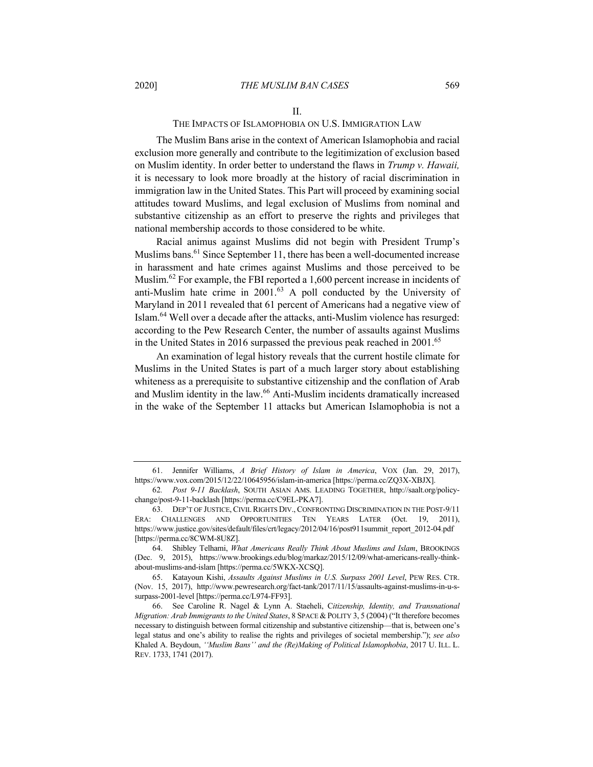#### II.

#### THE IMPACTS OF ISLAMOPHOBIA ON U.S. IMMIGRATION LAW

The Muslim Bans arise in the context of American Islamophobia and racial exclusion more generally and contribute to the legitimization of exclusion based on Muslim identity. In order better to understand the flaws in *Trump v. Hawaii,*  it is necessary to look more broadly at the history of racial discrimination in immigration law in the United States. This Part will proceed by examining social attitudes toward Muslims, and legal exclusion of Muslims from nominal and substantive citizenship as an effort to preserve the rights and privileges that national membership accords to those considered to be white.

Racial animus against Muslims did not begin with President Trump's Muslims bans.<sup>61</sup> Since September 11, there has been a well-documented increase in harassment and hate crimes against Muslims and those perceived to be Muslim.<sup>62</sup> For example, the FBI reported a 1,600 percent increase in incidents of anti-Muslim hate crime in 2001.<sup>63</sup> A poll conducted by the University of Maryland in 2011 revealed that 61 percent of Americans had a negative view of Islam.64 Well over a decade after the attacks, anti-Muslim violence has resurged: according to the Pew Research Center, the number of assaults against Muslims in the United States in 2016 surpassed the previous peak reached in 2001.<sup>65</sup>

An examination of legal history reveals that the current hostile climate for Muslims in the United States is part of a much larger story about establishing whiteness as a prerequisite to substantive citizenship and the conflation of Arab and Muslim identity in the law.<sup>66</sup> Anti-Muslim incidents dramatically increased in the wake of the September 11 attacks but American Islamophobia is not a

<sup>61.</sup> Jennifer Williams, *A Brief History of Islam in America*, VOX (Jan. 29, 2017), https://www.vox.com/2015/12/22/10645956/islam-in-america [https://perma.cc/ZQ3X-XBJX].

<sup>62</sup>*. Post 9-11 Backlash*, SOUTH ASIAN AMS. LEADING TOGETHER, http://saalt.org/policychange/post-9-11-backlash [https://perma.cc/C9EL-PKA7].

<sup>63.</sup> DEP'T OF JUSTICE, CIVIL RIGHTS DIV., CONFRONTING DISCRIMINATION IN THE POST-9/11 ERA: CHALLENGES AND OPPORTUNITIES TEN YEARS LATER (Oct. 19, 2011), https://www.justice.gov/sites/default/files/crt/legacy/2012/04/16/post911summit\_report\_2012-04.pdf [https://perma.cc/8CWM-8U8Z].

<sup>64.</sup> Shibley Telhami, *What Americans Really Think About Muslims and Islam*, BROOKINGS (Dec. 9, 2015), https://www.brookings.edu/blog/markaz/2015/12/09/what-americans-really-thinkabout-muslims-and-islam [https://perma.cc/5WKX-XCSQ].

<sup>65.</sup> Katayoun Kishi, *Assaults Against Muslims in U.S. Surpass 2001 Level*, PEW RES. CTR. (Nov. 15, 2017), http://www.pewresearch.org/fact-tank/2017/11/15/assaults-against-muslims-in-u-ssurpass-2001-level [https://perma.cc/L974-FF93].

<sup>66.</sup> See Caroline R. Nagel & Lynn A. Staeheli, C*itizenship, Identity, and Transnational Migration: Arab Immigrants to the United States*, 8 SPACE & POLITY 3, 5 (2004) ("It therefore becomes necessary to distinguish between formal citizenship and substantive citizenship—that is, between one's legal status and one's ability to realise the rights and privileges of societal membership."); *see also*  Khaled A. Beydoun, *''Muslim Bans'' and the (Re)Making of Political Islamophobia*, 2017 U. ILL. L. REV. 1733, 1741 (2017).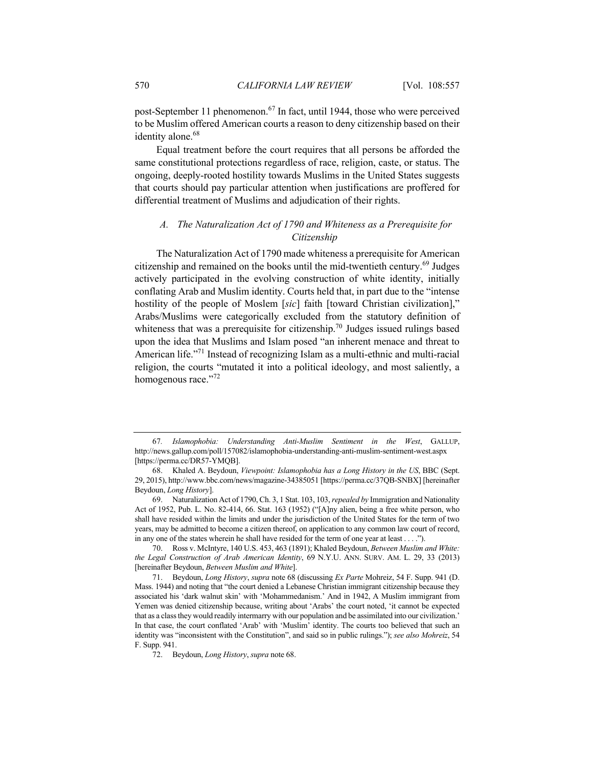post-September 11 phenomenon.<sup>67</sup> In fact, until 1944, those who were perceived to be Muslim offered American courts a reason to deny citizenship based on their identity alone.<sup>68</sup>

Equal treatment before the court requires that all persons be afforded the same constitutional protections regardless of race, religion, caste, or status. The ongoing, deeply-rooted hostility towards Muslims in the United States suggests that courts should pay particular attention when justifications are proffered for differential treatment of Muslims and adjudication of their rights.

# *A. The Naturalization Act of 1790 and Whiteness as a Prerequisite for Citizenship*

The Naturalization Act of 1790 made whiteness a prerequisite for American citizenship and remained on the books until the mid-twentieth century.<sup>69</sup> Judges actively participated in the evolving construction of white identity, initially conflating Arab and Muslim identity. Courts held that, in part due to the "intense hostility of the people of Moslem [*sic*] faith [toward Christian civilization]," Arabs/Muslims were categorically excluded from the statutory definition of whiteness that was a prerequisite for citizenship.<sup>70</sup> Judges issued rulings based upon the idea that Muslims and Islam posed "an inherent menace and threat to American life.<sup>"71</sup> Instead of recognizing Islam as a multi-ethnic and multi-racial religion, the courts "mutated it into a political ideology, and most saliently, a homogenous race."72

<sup>67</sup>*. Islamophobia: Understanding Anti-Muslim Sentiment in the West*, GALLUP, http://news.gallup.com/poll/157082/islamophobia-understanding-anti-muslim-sentiment-west.aspx [https://perma.cc/DR57-YMQB].

<sup>68.</sup> Khaled A. Beydoun, *Viewpoint: Islamophobia has a Long History in the US*, BBC (Sept. 29, 2015), http://www.bbc.com/news/magazine-34385051 [https://perma.cc/37QB-SNBX] [hereinafter Beydoun, *Long History*].

<sup>69.</sup> Naturalization Act of 1790, Ch. 3, 1 Stat. 103, 103, *repealed by* Immigration and Nationality Act of 1952, Pub. L. No. 82-414, 66. Stat. 163 (1952) ("[A]ny alien, being a free white person, who shall have resided within the limits and under the jurisdiction of the United States for the term of two years, may be admitted to become a citizen thereof, on application to any common law court of record, in any one of the states wherein he shall have resided for the term of one year at least . . . .").

<sup>70.</sup> Ross v. McIntyre, 140 U.S. 453, 463 (1891); Khaled Beydoun, *Between Muslim and White: the Legal Construction of Arab American Identity*, 69 N.Y.U. ANN. SURV. AM. L. 29, 33 (2013) [hereinafter Beydoun, *Between Muslim and White*].

<sup>71.</sup> Beydoun, *Long History*, *supra* note 68 (discussing *Ex Parte* Mohreiz, 54 F. Supp. 941 (D. Mass. 1944) and noting that "the court denied a Lebanese Christian immigrant citizenship because they associated his 'dark walnut skin' with 'Mohammedanism.' And in 1942, A Muslim immigrant from Yemen was denied citizenship because, writing about 'Arabs' the court noted, 'it cannot be expected that as a class they would readily intermarry with our population and be assimilated into our civilization.' In that case, the court conflated 'Arab' with 'Muslim' identity. The courts too believed that such an identity was "inconsistent with the Constitution", and said so in public rulings."); *see also Mohreiz*, 54 F. Supp. 941.

<sup>72.</sup> Beydoun, *Long History*, *supra* note 68.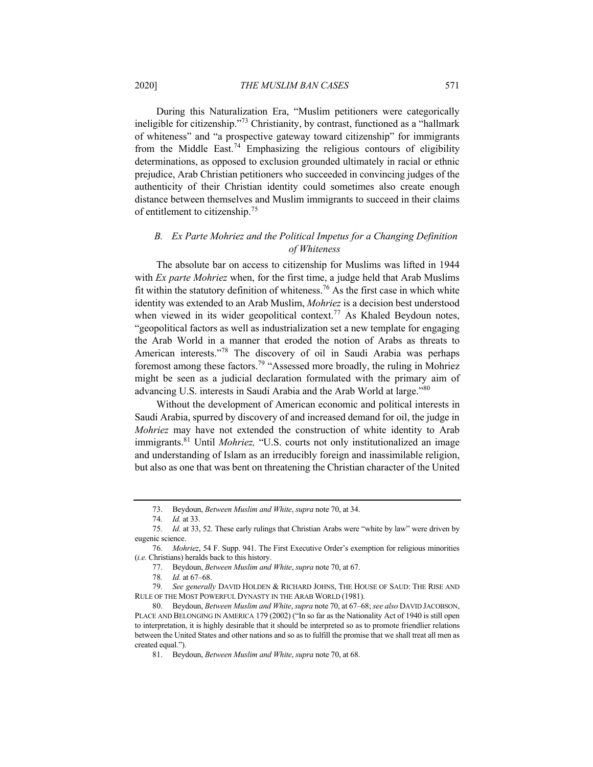During this Naturalization Era, "Muslim petitioners were categorically ineligible for citizenship."73 Christianity, by contrast, functioned as a "hallmark of whiteness" and "a prospective gateway toward citizenship" for immigrants from the Middle East.<sup>74</sup> Emphasizing the religious contours of eligibility determinations, as opposed to exclusion grounded ultimately in racial or ethnic prejudice, Arab Christian petitioners who succeeded in convincing judges of the authenticity of their Christian identity could sometimes also create enough distance between themselves and Muslim immigrants to succeed in their claims of entitlement to citizenship.<sup>75</sup>

## *B. Ex Parte Mohriez and the Political Impetus for a Changing Definition of Whiteness*

The absolute bar on access to citizenship for Muslims was lifted in 1944 with *Ex parte Mohriez* when, for the first time, a judge held that Arab Muslims fit within the statutory definition of whiteness.<sup>76</sup> As the first case in which white identity was extended to an Arab Muslim, *Mohriez* is a decision best understood when viewed in its wider geopolitical context.<sup>77</sup> As Khaled Beydoun notes, "geopolitical factors as well as industrialization set a new template for engaging the Arab World in a manner that eroded the notion of Arabs as threats to American interests."<sup>78</sup> The discovery of oil in Saudi Arabia was perhaps foremost among these factors.79 "Assessed more broadly, the ruling in Mohriez might be seen as a judicial declaration formulated with the primary aim of advancing U.S. interests in Saudi Arabia and the Arab World at large."<sup>80</sup>

Without the development of American economic and political interests in Saudi Arabia, spurred by discovery of and increased demand for oil, the judge in *Mohriez* may have not extended the construction of white identity to Arab immigrants.<sup>81</sup> Until *Mohriez*, "U.S. courts not only institutionalized an image and understanding of Islam as an irreducibly foreign and inassimilable religion, but also as one that was bent on threatening the Christian character of the United

<sup>73.</sup> Beydoun, *Between Muslim and White*, *supra* note 70, at 34.

<sup>74</sup>*. Id.* at 33.

<sup>75</sup>*. Id.* at 33, 52. These early rulings that Christian Arabs were "white by law" were driven by eugenic science.

<sup>76</sup>*. Mohriez*, 54 F. Supp. 941. The First Executive Order's exemption for religious minorities (*i.e.* Christians) heralds back to this history.

<sup>77.</sup> Beydoun, *Between Muslim and White*, *supra* note 70, at 67.

<sup>78</sup>*. Id.* at 67–68.

<sup>79</sup>*. See generally* DAVID HOLDEN & RICHARD JOHNS, THE HOUSE OF SAUD: THE RISE AND RULE OF THE MOST POWERFUL DYNASTY IN THE ARAB WORLD (1981).

<sup>80.</sup> Beydoun, *Between Muslim and White*, *supra* note 70, at 67–68; *see also* DAVID JACOBSON, PLACE AND BELONGING IN AMERICA 179 (2002) ("In so far as the Nationality Act of 1940 is still open to interpretation, it is highly desirable that it should be interpreted so as to promote friendlier relations between the United States and other nations and so as to fulfill the promise that we shall treat all men as created equal.").

<sup>81.</sup> Beydoun, *Between Muslim and White*, *supra* note 70, at 68.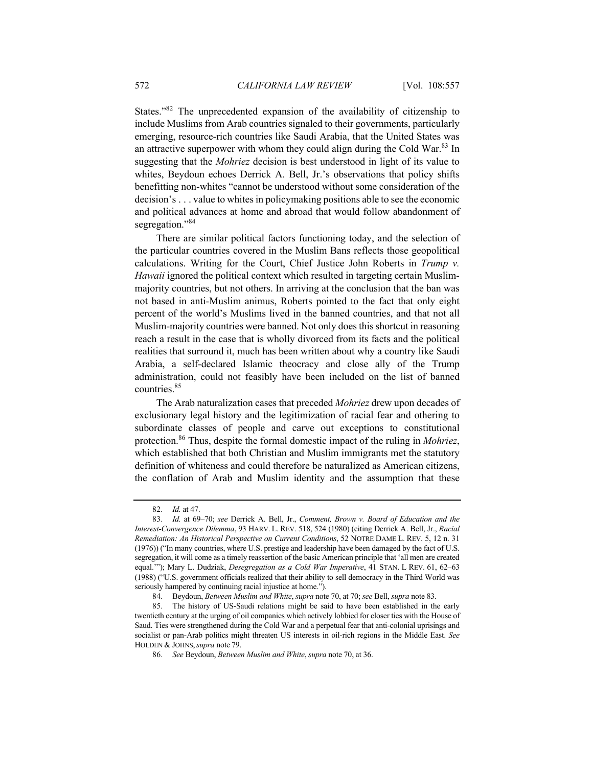States."<sup>82</sup> The unprecedented expansion of the availability of citizenship to include Muslims from Arab countries signaled to their governments, particularly emerging, resource-rich countries like Saudi Arabia, that the United States was an attractive superpower with whom they could align during the Cold War.<sup>83</sup> In suggesting that the *Mohriez* decision is best understood in light of its value to whites, Beydoun echoes Derrick A. Bell, Jr.'s observations that policy shifts benefitting non-whites "cannot be understood without some consideration of the decision's . . . value to whites in policymaking positions able to see the economic and political advances at home and abroad that would follow abandonment of segregation."<sup>84</sup>

There are similar political factors functioning today, and the selection of the particular countries covered in the Muslim Bans reflects those geopolitical calculations. Writing for the Court, Chief Justice John Roberts in *Trump v. Hawaii* ignored the political context which resulted in targeting certain Muslimmajority countries, but not others. In arriving at the conclusion that the ban was not based in anti-Muslim animus, Roberts pointed to the fact that only eight percent of the world's Muslims lived in the banned countries, and that not all Muslim-majority countries were banned. Not only does this shortcut in reasoning reach a result in the case that is wholly divorced from its facts and the political realities that surround it, much has been written about why a country like Saudi Arabia, a self-declared Islamic theocracy and close ally of the Trump administration, could not feasibly have been included on the list of banned countries.85

The Arab naturalization cases that preceded *Mohriez* drew upon decades of exclusionary legal history and the legitimization of racial fear and othering to subordinate classes of people and carve out exceptions to constitutional protection.86 Thus, despite the formal domestic impact of the ruling in *Mohriez*, which established that both Christian and Muslim immigrants met the statutory definition of whiteness and could therefore be naturalized as American citizens, the conflation of Arab and Muslim identity and the assumption that these

<sup>82</sup>*. Id.* at 47.

<sup>83</sup>*. Id.* at 69–70; *see* Derrick A. Bell, Jr., *Comment, Brown v. Board of Education and the Interest-Convergence Dilemma*, 93 HARV. L. REV. 518, 524 (1980) (citing Derrick A. Bell, Jr., *Racial Remediation: An Historical Perspective on Current Conditions*, 52 NOTRE DAME L. REV. 5, 12 n. 31 (1976)) ("In many countries, where U.S. prestige and leadership have been damaged by the fact of U.S. segregation, it will come as a timely reassertion of the basic American principle that 'all men are created equal.'"); Mary L. Dudziak, *Desegregation as a Cold War Imperative*, 41 STAN. L REV. 61, 62–63 (1988) ("U.S. government officials realized that their ability to sell democracy in the Third World was seriously hampered by continuing racial injustice at home.").

<sup>84.</sup> Beydoun, *Between Muslim and White*, *supra* note 70, at 70; *see* Bell, *supra* note 83.

<sup>85.</sup> The history of US-Saudi relations might be said to have been established in the early twentieth century at the urging of oil companies which actively lobbied for closer ties with the House of Saud. Ties were strengthened during the Cold War and a perpetual fear that anti-colonial uprisings and socialist or pan-Arab politics might threaten US interests in oil-rich regions in the Middle East. *See* HOLDEN & JOHNS,*supra* note 79.

<sup>86</sup>*. See* Beydoun, *Between Muslim and White*, *supra* note 70, at 36.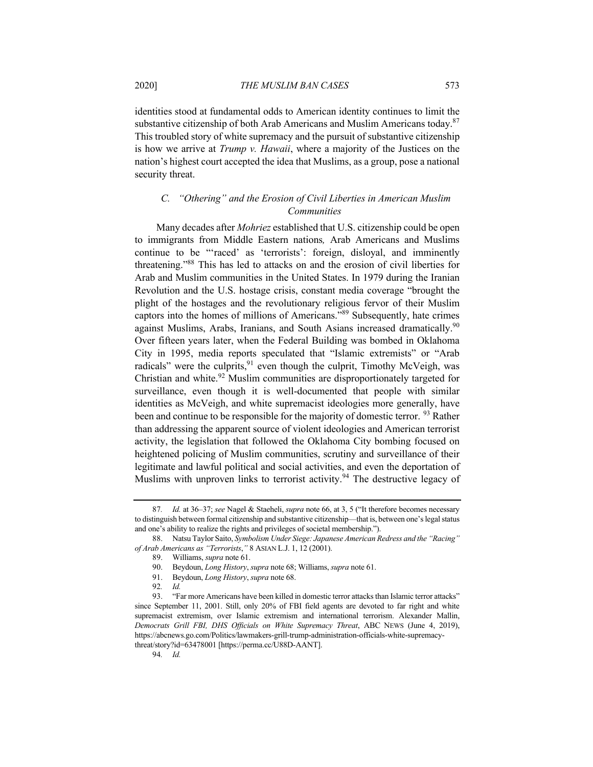identities stood at fundamental odds to American identity continues to limit the substantive citizenship of both Arab Americans and Muslim Americans today.<sup>87</sup> This troubled story of white supremacy and the pursuit of substantive citizenship is how we arrive at *Trump v. Hawaii*, where a majority of the Justices on the nation's highest court accepted the idea that Muslims, as a group, pose a national

# *C. "Othering" and the Erosion of Civil Liberties in American Muslim Communities*

Many decades after *Mohriez* established that U.S. citizenship could be open to immigrants from Middle Eastern nations*,* Arab Americans and Muslims continue to be "'raced' as 'terrorists': foreign, disloyal, and imminently threatening."88 This has led to attacks on and the erosion of civil liberties for Arab and Muslim communities in the United States. In 1979 during the Iranian Revolution and the U.S. hostage crisis, constant media coverage "brought the plight of the hostages and the revolutionary religious fervor of their Muslim captors into the homes of millions of Americans."<sup>89</sup> Subsequently, hate crimes against Muslims, Arabs, Iranians, and South Asians increased dramatically.<sup>90</sup> Over fifteen years later, when the Federal Building was bombed in Oklahoma City in 1995, media reports speculated that "Islamic extremists" or "Arab radicals" were the culprits,  $91$  even though the culprit, Timothy McVeigh, was Christian and white.<sup>92</sup> Muslim communities are disproportionately targeted for surveillance, even though it is well-documented that people with similar identities as McVeigh, and white supremacist ideologies more generally, have been and continue to be responsible for the majority of domestic terror. <sup>93</sup> Rather than addressing the apparent source of violent ideologies and American terrorist activity, the legislation that followed the Oklahoma City bombing focused on heightened policing of Muslim communities, scrutiny and surveillance of their legitimate and lawful political and social activities, and even the deportation of Muslims with unproven links to terrorist activity.<sup>94</sup> The destructive legacy of

94*. Id.*

security threat.

<sup>87</sup>*. Id.* at 36–37; *see* Nagel & Staeheli, *supra* note 66, at 3, 5 ("It therefore becomes necessary to distinguish between formal citizenship and substantive citizenship—that is, between one's legal status and one's ability to realize the rights and privileges of societal membership.").

<sup>88.</sup> Natsu Taylor Saito, *Symbolism Under Siege: Japanese American Redress and the "Racing" of Arab Americans as "Terrorists*,*"* 8 ASIAN L.J. 1, 12 (2001).

<sup>89.</sup> Williams, *supra* note 61.

<sup>90.</sup> Beydoun, *Long History*, *supra* note 68; Williams, *supra* note 61.

<sup>91.</sup> Beydoun, *Long History*, *supra* note 68.

<sup>92</sup>*. Id.*

<sup>93.</sup> "Far more Americans have been killed in domestic terror attacks than Islamic terror attacks" since September 11, 2001. Still, only 20% of FBI field agents are devoted to far right and white supremacist extremism, over Islamic extremism and international terrorism. Alexander Mallin, *Democrats Grill FBI, DHS Officials on White Supremacy Threat*, ABC NEWS (June 4, 2019), https://abcnews.go.com/Politics/lawmakers-grill-trump-administration-officials-white-supremacythreat/story?id=63478001 [https://perma.cc/U88D-AANT].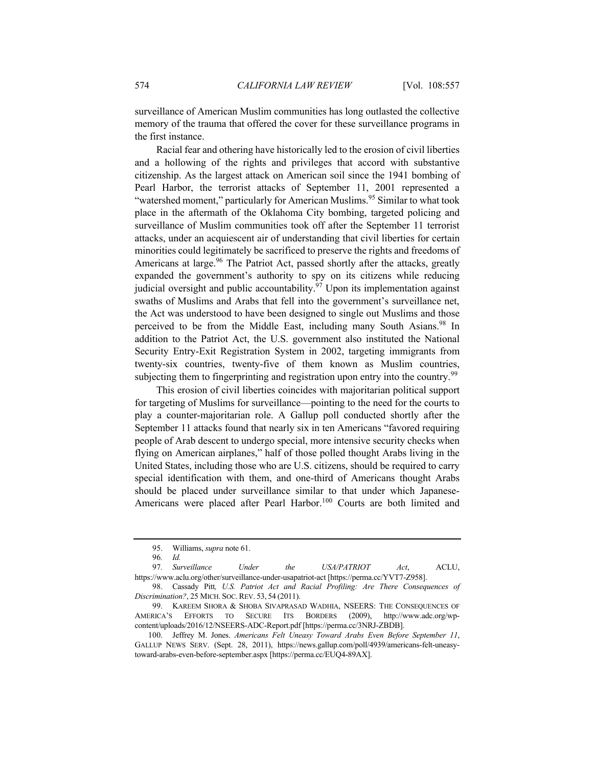surveillance of American Muslim communities has long outlasted the collective memory of the trauma that offered the cover for these surveillance programs in the first instance.

Racial fear and othering have historically led to the erosion of civil liberties and a hollowing of the rights and privileges that accord with substantive citizenship. As the largest attack on American soil since the 1941 bombing of Pearl Harbor, the terrorist attacks of September 11, 2001 represented a "watershed moment," particularly for American Muslims.<sup>95</sup> Similar to what took place in the aftermath of the Oklahoma City bombing, targeted policing and surveillance of Muslim communities took off after the September 11 terrorist attacks, under an acquiescent air of understanding that civil liberties for certain minorities could legitimately be sacrificed to preserve the rights and freedoms of Americans at large.<sup>96</sup> The Patriot Act, passed shortly after the attacks, greatly expanded the government's authority to spy on its citizens while reducing judicial oversight and public accountability. $97$  Upon its implementation against swaths of Muslims and Arabs that fell into the government's surveillance net, the Act was understood to have been designed to single out Muslims and those perceived to be from the Middle East, including many South Asians.<sup>98</sup> In addition to the Patriot Act, the U.S. government also instituted the National Security Entry-Exit Registration System in 2002, targeting immigrants from twenty-six countries, twenty-five of them known as Muslim countries, subjecting them to fingerprinting and registration upon entry into the country.<sup>99</sup>

This erosion of civil liberties coincides with majoritarian political support for targeting of Muslims for surveillance—pointing to the need for the courts to play a counter-majoritarian role. A Gallup poll conducted shortly after the September 11 attacks found that nearly six in ten Americans "favored requiring people of Arab descent to undergo special, more intensive security checks when flying on American airplanes," half of those polled thought Arabs living in the United States, including those who are U.S. citizens, should be required to carry special identification with them, and one-third of Americans thought Arabs should be placed under surveillance similar to that under which Japanese-Americans were placed after Pearl Harbor.<sup>100</sup> Courts are both limited and

97*. Surveillance Under the USA/PATRIOT Act*, ACLU, https://www.aclu.org/other/surveillance-under-usapatriot-act [https://perma.cc/YVT7-Z958].

<sup>95.</sup> Williams, *supra* note 61.

<sup>96</sup>*. Id.*

<sup>98.</sup> Cassady Pitt*, U.S. Patriot Act and Racial Profiling: Are There Consequences of Discrimination?*, 25 MICH. SOC. REV. 53, 54 (2011).

<sup>99.</sup> KAREEM SHORA & SHOBA SIVAPRASAD WADHIA, NSEERS: THE CONSEQUENCES OF AMERICA'S EFFORTS TO SECURE ITS BORDERS (2009), http://www.adc.org/wpcontent/uploads/2016/12/NSEERS-ADC-Report.pdf [https://perma.cc/3NRJ-ZBDB].

<sup>100.</sup> Jeffrey M. Jones. *Americans Felt Uneasy Toward Arabs Even Before September 11*, GALLUP NEWS SERV. (Sept. 28, 2011), https://news.gallup.com/poll/4939/americans-felt-uneasytoward-arabs-even-before-september.aspx [https://perma.cc/EUQ4-89AX].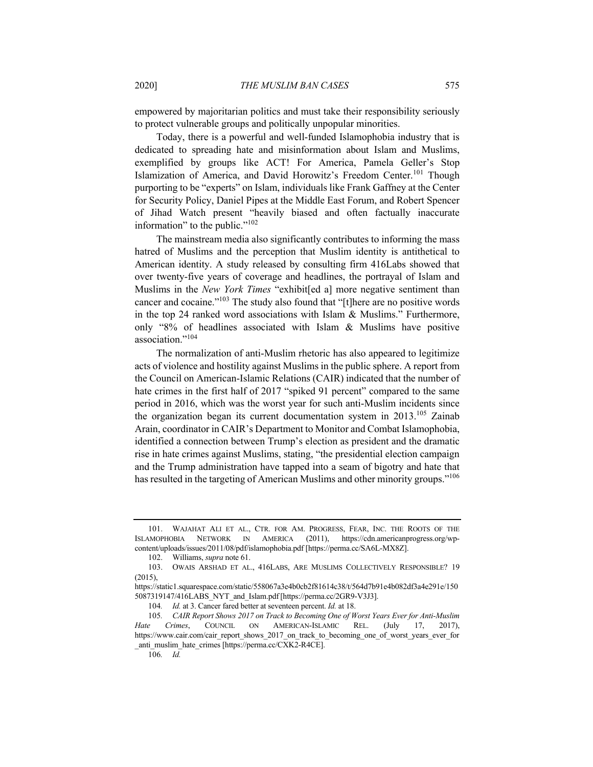empowered by majoritarian politics and must take their responsibility seriously to protect vulnerable groups and politically unpopular minorities.

Today, there is a powerful and well-funded Islamophobia industry that is dedicated to spreading hate and misinformation about Islam and Muslims, exemplified by groups like ACT! For America, Pamela Geller's Stop Islamization of America, and David Horowitz's Freedom Center.<sup>101</sup> Though purporting to be "experts" on Islam, individuals like Frank Gaffney at the Center for Security Policy, Daniel Pipes at the Middle East Forum, and Robert Spencer of Jihad Watch present "heavily biased and often factually inaccurate information" to the public."102

The mainstream media also significantly contributes to informing the mass hatred of Muslims and the perception that Muslim identity is antithetical to American identity. A study released by consulting firm 416Labs showed that over twenty-five years of coverage and headlines, the portrayal of Islam and Muslims in the *New York Times* "exhibit[ed a] more negative sentiment than cancer and cocaine."103 The study also found that "[t]here are no positive words in the top 24 ranked word associations with Islam & Muslims." Furthermore, only "8% of headlines associated with Islam & Muslims have positive association."<sup>104</sup>

The normalization of anti-Muslim rhetoric has also appeared to legitimize acts of violence and hostility against Muslims in the public sphere. A report from the Council on American-Islamic Relations (CAIR) indicated that the number of hate crimes in the first half of 2017 "spiked 91 percent" compared to the same period in 2016, which was the worst year for such anti-Muslim incidents since the organization began its current documentation system in 2013.<sup>105</sup> Zainab Arain, coordinator in CAIR's Department to Monitor and Combat Islamophobia, identified a connection between Trump's election as president and the dramatic rise in hate crimes against Muslims, stating, "the presidential election campaign and the Trump administration have tapped into a seam of bigotry and hate that has resulted in the targeting of American Muslims and other minority groups."<sup>106</sup>

<sup>101.</sup> WAJAHAT ALI ET AL., CTR. FOR AM. PROGRESS, FEAR, INC. THE ROOTS OF THE ISLAMOPHOBIA NETWORK IN AMERICA (2011), https://cdn.americanprogress.org/wpcontent/uploads/issues/2011/08/pdf/islamophobia.pdf [https://perma.cc/SA6L-MX8Z].

<sup>102.</sup> Williams, *supra* note 61.

<sup>103.</sup> OWAIS ARSHAD ET AL., 416LABS, ARE MUSLIMS COLLECTIVELY RESPONSIBLE? 19 (2015),

https://static1.squarespace.com/static/558067a3e4b0cb2f81614c38/t/564d7b91e4b082df3a4e291e/150 5087319147/416LABS\_NYT\_and\_Islam.pdf [https://perma.cc/2GR9-V3J3].

<sup>104</sup>*. Id.* at 3. Cancer fared better at seventeen percent. *Id.* at 18.

<sup>105</sup>*. CAIR Report Shows 2017 on Track to Becoming One of Worst Years Ever for Anti-Muslim Hate Crimes*, COUNCIL ON AMERICAN-ISLAMIC REL. (July 17, 2017), https://www.cair.com/cair\_report\_shows\_2017\_on\_track\_to\_becoming\_one\_of\_worst\_years\_ever\_for \_anti\_muslim\_hate\_crimes [https://perma.cc/CXK2-R4CE].

<sup>106</sup>*. Id.*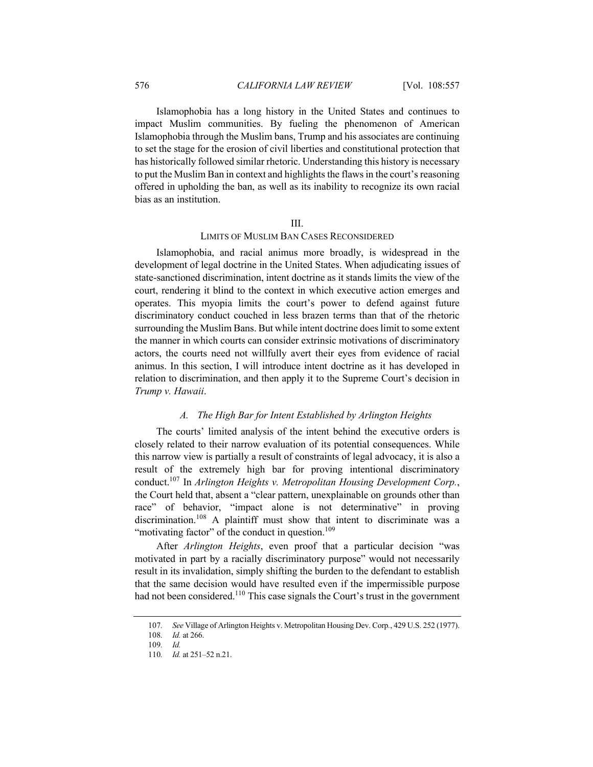Islamophobia has a long history in the United States and continues to impact Muslim communities. By fueling the phenomenon of American Islamophobia through the Muslim bans, Trump and his associates are continuing to set the stage for the erosion of civil liberties and constitutional protection that has historically followed similar rhetoric. Understanding this history is necessary to put the Muslim Ban in context and highlights the flaws in the court's reasoning offered in upholding the ban, as well as its inability to recognize its own racial bias as an institution.

## III.

## LIMITS OF MUSLIM BAN CASES RECONSIDERED

Islamophobia, and racial animus more broadly, is widespread in the development of legal doctrine in the United States. When adjudicating issues of state-sanctioned discrimination, intent doctrine as it stands limits the view of the court, rendering it blind to the context in which executive action emerges and operates. This myopia limits the court's power to defend against future discriminatory conduct couched in less brazen terms than that of the rhetoric surrounding the Muslim Bans. But while intent doctrine does limit to some extent the manner in which courts can consider extrinsic motivations of discriminatory actors, the courts need not willfully avert their eyes from evidence of racial animus. In this section, I will introduce intent doctrine as it has developed in relation to discrimination, and then apply it to the Supreme Court's decision in *Trump v. Hawaii*.

## *A. The High Bar for Intent Established by Arlington Heights*

The courts' limited analysis of the intent behind the executive orders is closely related to their narrow evaluation of its potential consequences. While this narrow view is partially a result of constraints of legal advocacy, it is also a result of the extremely high bar for proving intentional discriminatory conduct.107 In *Arlington Heights v. Metropolitan Housing Development Corp.*, the Court held that, absent a "clear pattern, unexplainable on grounds other than race" of behavior, "impact alone is not determinative" in proving discrimination.<sup>108</sup> A plaintiff must show that intent to discriminate was a "motivating factor" of the conduct in question.<sup>109</sup>

After *Arlington Heights*, even proof that a particular decision "was motivated in part by a racially discriminatory purpose" would not necessarily result in its invalidation, simply shifting the burden to the defendant to establish that the same decision would have resulted even if the impermissible purpose had not been considered.<sup>110</sup> This case signals the Court's trust in the government

<sup>107</sup>*. See* Village of Arlington Heights v. Metropolitan Housing Dev. Corp*.*, 429 U.S. 252 (1977).

<sup>108</sup>*. Id.* at 266.

<sup>109</sup>*. Id.*

<sup>110</sup>*. Id.* at 251–52 n.21.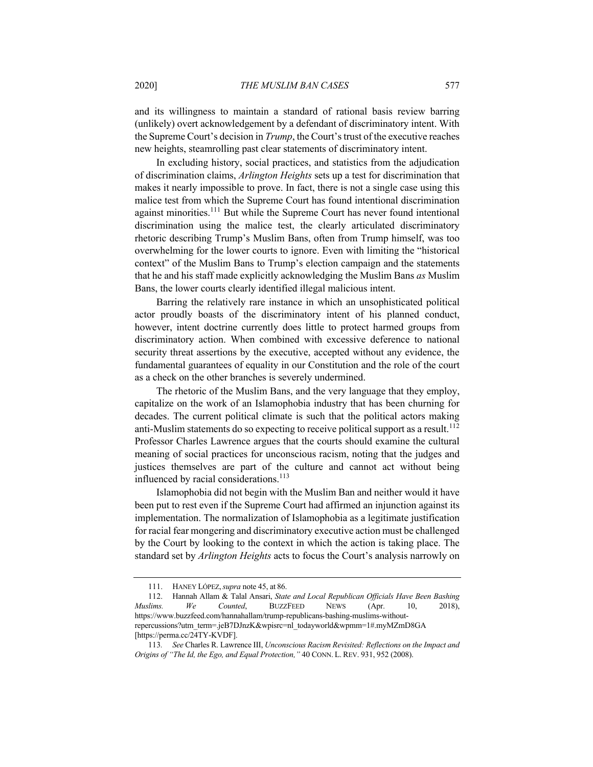and its willingness to maintain a standard of rational basis review barring (unlikely) overt acknowledgement by a defendant of discriminatory intent. With the Supreme Court's decision in *Trump*, the Court's trust of the executive reaches new heights, steamrolling past clear statements of discriminatory intent.

In excluding history, social practices, and statistics from the adjudication of discrimination claims, *Arlington Heights* sets up a test for discrimination that makes it nearly impossible to prove. In fact, there is not a single case using this malice test from which the Supreme Court has found intentional discrimination against minorities.<sup>111</sup> But while the Supreme Court has never found intentional discrimination using the malice test, the clearly articulated discriminatory rhetoric describing Trump's Muslim Bans, often from Trump himself, was too overwhelming for the lower courts to ignore. Even with limiting the "historical context" of the Muslim Bans to Trump's election campaign and the statements that he and his staff made explicitly acknowledging the Muslim Bans *as* Muslim Bans, the lower courts clearly identified illegal malicious intent.

Barring the relatively rare instance in which an unsophisticated political actor proudly boasts of the discriminatory intent of his planned conduct, however, intent doctrine currently does little to protect harmed groups from discriminatory action. When combined with excessive deference to national security threat assertions by the executive, accepted without any evidence, the fundamental guarantees of equality in our Constitution and the role of the court as a check on the other branches is severely undermined.

The rhetoric of the Muslim Bans, and the very language that they employ, capitalize on the work of an Islamophobia industry that has been churning for decades. The current political climate is such that the political actors making anti-Muslim statements do so expecting to receive political support as a result.<sup>112</sup> Professor Charles Lawrence argues that the courts should examine the cultural meaning of social practices for unconscious racism, noting that the judges and justices themselves are part of the culture and cannot act without being influenced by racial considerations.<sup>113</sup>

Islamophobia did not begin with the Muslim Ban and neither would it have been put to rest even if the Supreme Court had affirmed an injunction against its implementation. The normalization of Islamophobia as a legitimate justification for racial fear mongering and discriminatory executive action must be challenged by the Court by looking to the context in which the action is taking place. The standard set by *Arlington Heights* acts to focus the Court's analysis narrowly on

<sup>111.</sup> HANEY LÓPEZ,*supra* note 45, at 86.

<sup>112.</sup> Hannah Allam & Talal Ansari, *State and Local Republican Officials Have Been Bashing Muslims. We Counted*, BUZZFEED NEWS (Apr. 10, 2018), https://www.buzzfeed.com/hannahallam/trump-republicans-bashing-muslims-withoutrepercussions?utm\_term=.jeB7DJnzK&wpisrc=nl\_todayworld&wpmm=1#.myMZmD8GA [https://perma.cc/24TY-KVDF].

<sup>113</sup>*. See* Charles R. Lawrence III, *Unconscious Racism Revisited: Reflections on the Impact and Origins of "The Id, the Ego, and Equal Protection,"* 40 CONN. L. REV. 931, 952 (2008).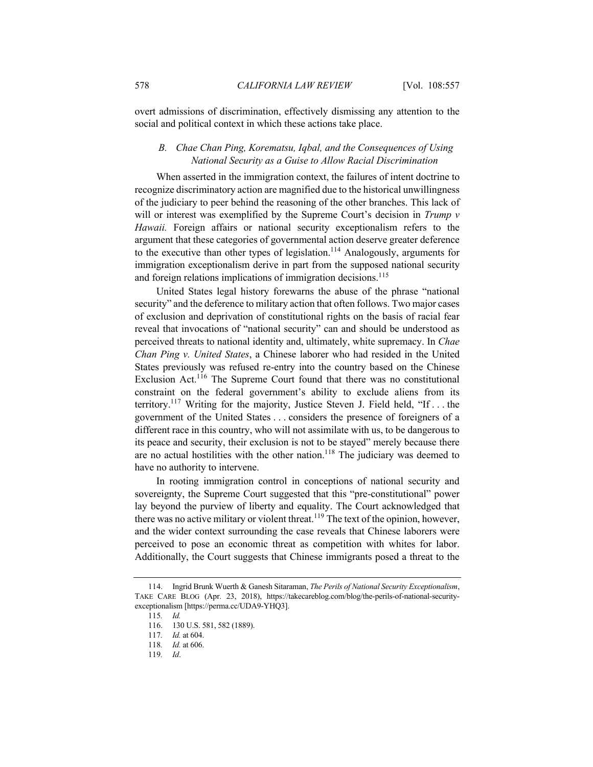overt admissions of discrimination, effectively dismissing any attention to the social and political context in which these actions take place.

# *B. Chae Chan Ping, Korematsu, Iqbal, and the Consequences of Using National Security as a Guise to Allow Racial Discrimination*

When asserted in the immigration context, the failures of intent doctrine to recognize discriminatory action are magnified due to the historical unwillingness of the judiciary to peer behind the reasoning of the other branches. This lack of will or interest was exemplified by the Supreme Court's decision in *Trump v Hawaii.* Foreign affairs or national security exceptionalism refers to the argument that these categories of governmental action deserve greater deference to the executive than other types of legislation.<sup>114</sup> Analogously, arguments for immigration exceptionalism derive in part from the supposed national security and foreign relations implications of immigration decisions.<sup>115</sup>

United States legal history forewarns the abuse of the phrase "national security" and the deference to military action that often follows. Two major cases of exclusion and deprivation of constitutional rights on the basis of racial fear reveal that invocations of "national security" can and should be understood as perceived threats to national identity and, ultimately, white supremacy. In *Chae Chan Ping v. United States*, a Chinese laborer who had resided in the United States previously was refused re-entry into the country based on the Chinese Exclusion Act.<sup>116</sup> The Supreme Court found that there was no constitutional constraint on the federal government's ability to exclude aliens from its territory.<sup>117</sup> Writing for the majority, Justice Steven J. Field held, "If ... the government of the United States . . . considers the presence of foreigners of a different race in this country, who will not assimilate with us, to be dangerous to its peace and security, their exclusion is not to be stayed" merely because there are no actual hostilities with the other nation. $118$  The judiciary was deemed to have no authority to intervene.

In rooting immigration control in conceptions of national security and sovereignty, the Supreme Court suggested that this "pre-constitutional" power lay beyond the purview of liberty and equality. The Court acknowledged that there was no active military or violent threat.<sup>119</sup> The text of the opinion, however, and the wider context surrounding the case reveals that Chinese laborers were perceived to pose an economic threat as competition with whites for labor. Additionally, the Court suggests that Chinese immigrants posed a threat to the

<sup>114.</sup> Ingrid Brunk Wuerth & Ganesh Sitaraman, *The Perils of National Security Exceptionalism*, TAKE CARE BLOG (Apr. 23, 2018), https://takecareblog.com/blog/the-perils-of-national-securityexceptionalism [https://perma.cc/UDA9-YHQ3].

<sup>115</sup>*. Id.*

<sup>116.</sup> 130 U.S. 581, 582 (1889).

<sup>117</sup>*. Id.* at 604.

<sup>118</sup>*. Id.* at 606.

<sup>119</sup>*. Id*.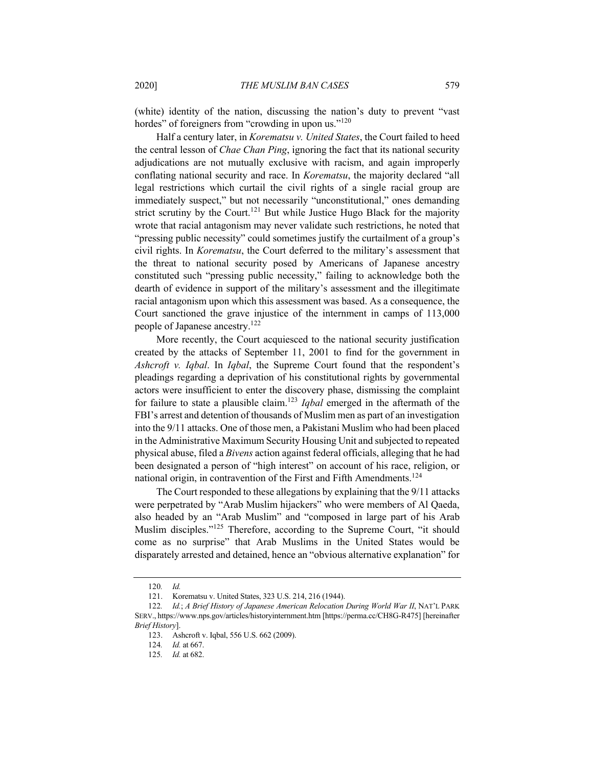(white) identity of the nation, discussing the nation's duty to prevent "vast hordes" of foreigners from "crowding in upon us."<sup>120</sup>

Half a century later, in *Korematsu v. United States*, the Court failed to heed the central lesson of *Chae Chan Ping*, ignoring the fact that its national security adjudications are not mutually exclusive with racism, and again improperly conflating national security and race. In *Korematsu*, the majority declared "all legal restrictions which curtail the civil rights of a single racial group are immediately suspect," but not necessarily "unconstitutional," ones demanding strict scrutiny by the Court.<sup>121</sup> But while Justice Hugo Black for the majority wrote that racial antagonism may never validate such restrictions, he noted that "pressing public necessity" could sometimes justify the curtailment of a group's civil rights. In *Korematsu*, the Court deferred to the military's assessment that the threat to national security posed by Americans of Japanese ancestry constituted such "pressing public necessity," failing to acknowledge both the dearth of evidence in support of the military's assessment and the illegitimate racial antagonism upon which this assessment was based. As a consequence, the Court sanctioned the grave injustice of the internment in camps of 113,000 people of Japanese ancestry.122

More recently, the Court acquiesced to the national security justification created by the attacks of September 11, 2001 to find for the government in *Ashcroft v. Iqbal*. In *Iqbal*, the Supreme Court found that the respondent's pleadings regarding a deprivation of his constitutional rights by governmental actors were insufficient to enter the discovery phase, dismissing the complaint for failure to state a plausible claim.123 *Iqbal* emerged in the aftermath of the FBI's arrest and detention of thousands of Muslim men as part of an investigation into the 9/11 attacks. One of those men, a Pakistani Muslim who had been placed in the Administrative Maximum Security Housing Unit and subjected to repeated physical abuse, filed a *Bivens* action against federal officials, alleging that he had been designated a person of "high interest" on account of his race, religion, or national origin, in contravention of the First and Fifth Amendments.<sup>124</sup>

The Court responded to these allegations by explaining that the 9/11 attacks were perpetrated by "Arab Muslim hijackers" who were members of Al Qaeda, also headed by an "Arab Muslim" and "composed in large part of his Arab Muslim disciples."<sup>125</sup> Therefore, according to the Supreme Court, "it should come as no surprise" that Arab Muslims in the United States would be disparately arrested and detained, hence an "obvious alternative explanation" for

<sup>120</sup>*. Id.*

<sup>121.</sup> Korematsu v. United States, 323 U.S. 214, 216 (1944).

<sup>122</sup>*. Id.*; *A Brief History of Japanese American Relocation During World War II*, NAT'L PARK SERV., https://www.nps.gov/articles/historyinternment.htm [https://perma.cc/CH8G-R475] [hereinafter *Brief History*].

<sup>123.</sup> Ashcroft v. Iqbal, 556 U.S. 662 (2009).

<sup>124</sup>*. Id.* at 667.

<sup>125</sup>*. Id.* at 682.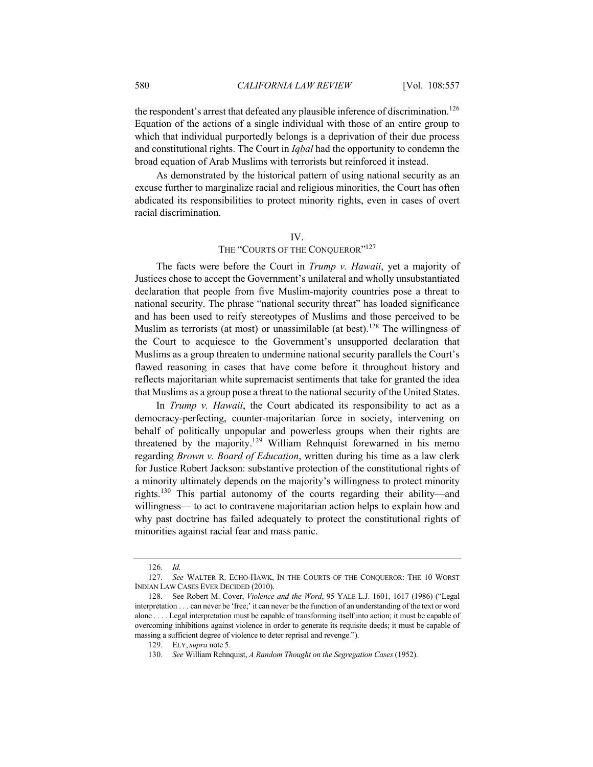the respondent's arrest that defeated any plausible inference of discrimination.<sup>126</sup> Equation of the actions of a single individual with those of an entire group to which that individual purportedly belongs is a deprivation of their due process and constitutional rights. The Court in *Iqbal* had the opportunity to condemn the broad equation of Arab Muslims with terrorists but reinforced it instead.

As demonstrated by the historical pattern of using national security as an excuse further to marginalize racial and religious minorities, the Court has often abdicated its responsibilities to protect minority rights, even in cases of overt racial discrimination.

## IV.

## THE "COURTS OF THE CONQUEROR"<sup>127</sup>

The facts were before the Court in *Trump v. Hawaii*, yet a majority of Justices chose to accept the Government's unilateral and wholly unsubstantiated declaration that people from five Muslim-majority countries pose a threat to national security. The phrase "national security threat" has loaded significance and has been used to reify stereotypes of Muslims and those perceived to be Muslim as terrorists (at most) or unassimilable (at best).<sup>128</sup> The willingness of the Court to acquiesce to the Government's unsupported declaration that Muslims as a group threaten to undermine national security parallels the Court's flawed reasoning in cases that have come before it throughout history and reflects majoritarian white supremacist sentiments that take for granted the idea that Muslims as a group pose a threat to the national security of the United States.

In *Trump v. Hawaii*, the Court abdicated its responsibility to act as a democracy-perfecting, counter-majoritarian force in society, intervening on behalf of politically unpopular and powerless groups when their rights are threatened by the majority.<sup>129</sup> William Rehnquist forewarned in his memo regarding *Brown v. Board of Education*, written during his time as a law clerk for Justice Robert Jackson: substantive protection of the constitutional rights of a minority ultimately depends on the majority's willingness to protect minority rights.<sup>130</sup> This partial autonomy of the courts regarding their ability—and willingness— to act to contravene majoritarian action helps to explain how and why past doctrine has failed adequately to protect the constitutional rights of minorities against racial fear and mass panic.

<sup>126</sup>*. Id.*

<sup>127</sup>*. See* WALTER R. ECHO-HAWK, IN THE COURTS OF THE CONQUEROR: THE 10 WORST INDIAN LAW CASES EVER DECIDED (2010).

<sup>128.</sup> See Robert M. Cover, *Violence and the Word*, 95 YALE L.J. 1601, 1617 (1986) ("Legal interpretation . . . can never be 'free;' it can never be the function of an understanding of the text or word alone . . . . Legal interpretation must be capable of transforming itself into action; it must be capable of overcoming inhibitions against violence in order to generate its requisite deeds; it must be capable of massing a sufficient degree of violence to deter reprisal and revenge.").

<sup>129.</sup> ELY,*supra* note 5*.*

<sup>130</sup>*. See* William Rehnquist, *A Random Thought on the Segregation Cases* (1952).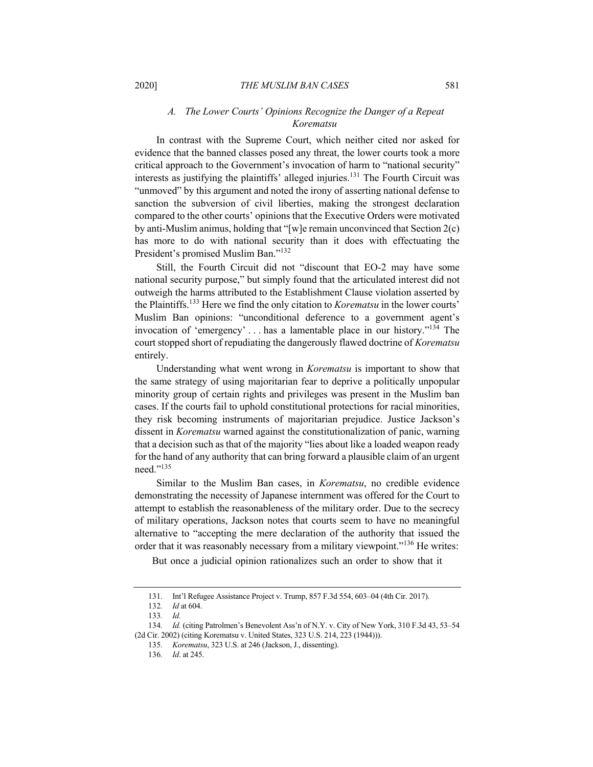# *A. The Lower Courts' Opinions Recognize the Danger of a Repeat Korematsu*

In contrast with the Supreme Court, which neither cited nor asked for evidence that the banned classes posed any threat, the lower courts took a more critical approach to the Government's invocation of harm to "national security" interests as justifying the plaintiffs' alleged injuries.<sup>131</sup> The Fourth Circuit was "unmoved" by this argument and noted the irony of asserting national defense to sanction the subversion of civil liberties, making the strongest declaration compared to the other courts' opinions that the Executive Orders were motivated by anti-Muslim animus, holding that "[w]e remain unconvinced that Section 2(c) has more to do with national security than it does with effectuating the President's promised Muslim Ban."<sup>132</sup>

Still, the Fourth Circuit did not "discount that EO-2 may have some national security purpose," but simply found that the articulated interest did not outweigh the harms attributed to the Establishment Clause violation asserted by the Plaintiffs.133 Here we find the only citation to *Korematsu* in the lower courts' Muslim Ban opinions: "unconditional deference to a government agent's invocation of 'emergency' . . . has a lamentable place in our history."134 The court stopped short of repudiating the dangerously flawed doctrine of *Korematsu* entirely.

Understanding what went wrong in *Korematsu* is important to show that the same strategy of using majoritarian fear to deprive a politically unpopular minority group of certain rights and privileges was present in the Muslim ban cases. If the courts fail to uphold constitutional protections for racial minorities, they risk becoming instruments of majoritarian prejudice. Justice Jackson's dissent in *Korematsu* warned against the constitutionalization of panic, warning that a decision such as that of the majority "lies about like a loaded weapon ready for the hand of any authority that can bring forward a plausible claim of an urgent need."135

Similar to the Muslim Ban cases, in *Korematsu*, no credible evidence demonstrating the necessity of Japanese internment was offered for the Court to attempt to establish the reasonableness of the military order. Due to the secrecy of military operations, Jackson notes that courts seem to have no meaningful alternative to "accepting the mere declaration of the authority that issued the order that it was reasonably necessary from a military viewpoint."<sup>136</sup> He writes:

But once a judicial opinion rationalizes such an order to show that it

<sup>131.</sup> Int'l Refugee Assistance Project v. Trump, 857 F.3d 554, 603–04 (4th Cir. 2017).

<sup>132</sup>*. Id* at 604.

<sup>133</sup>*. Id.*

<sup>134</sup>*. Id.* (citing Patrolmen's Benevolent Ass'n of N.Y. v. City of New York, 310 F.3d 43, 53–54 (2d Cir. 2002) (citing Korematsu v. United States, 323 U.S. 214, 223 (1944))).

<sup>135</sup>*. Korematsu*, 323 U.S. at 246 (Jackson, J., dissenting).

<sup>136</sup>*. Id*. at 245.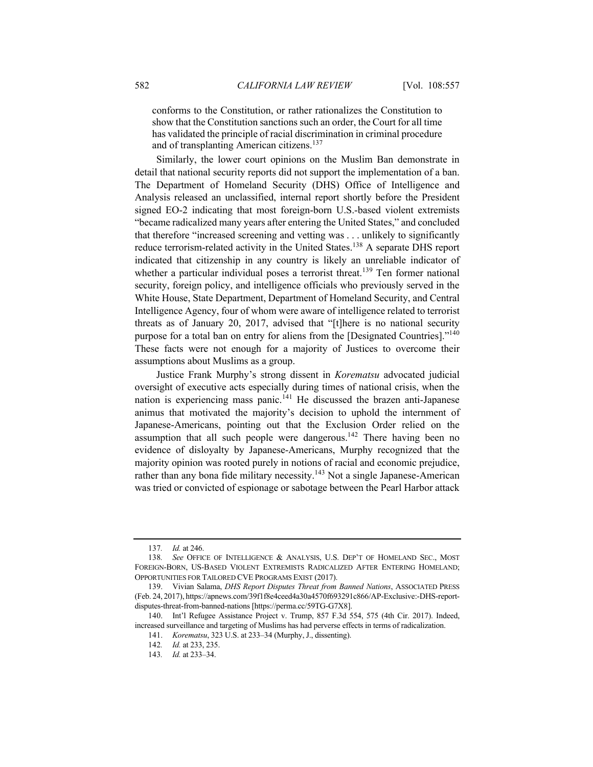conforms to the Constitution, or rather rationalizes the Constitution to show that the Constitution sanctions such an order, the Court for all time has validated the principle of racial discrimination in criminal procedure and of transplanting American citizens.<sup>137</sup>

Similarly, the lower court opinions on the Muslim Ban demonstrate in detail that national security reports did not support the implementation of a ban. The Department of Homeland Security (DHS) Office of Intelligence and Analysis released an unclassified, internal report shortly before the President signed EO-2 indicating that most foreign-born U.S.-based violent extremists "became radicalized many years after entering the United States," and concluded that therefore "increased screening and vetting was . . . unlikely to significantly reduce terrorism-related activity in the United States.<sup>138</sup> A separate DHS report indicated that citizenship in any country is likely an unreliable indicator of whether a particular individual poses a terrorist threat.<sup>139</sup> Ten former national security, foreign policy, and intelligence officials who previously served in the White House, State Department, Department of Homeland Security, and Central Intelligence Agency, four of whom were aware of intelligence related to terrorist threats as of January 20, 2017, advised that "[t]here is no national security purpose for a total ban on entry for aliens from the [Designated Countries]."<sup>140</sup> These facts were not enough for a majority of Justices to overcome their assumptions about Muslims as a group.

Justice Frank Murphy's strong dissent in *Korematsu* advocated judicial oversight of executive acts especially during times of national crisis, when the nation is experiencing mass panic.<sup>141</sup> He discussed the brazen anti-Japanese animus that motivated the majority's decision to uphold the internment of Japanese-Americans, pointing out that the Exclusion Order relied on the assumption that all such people were dangerous.<sup>142</sup> There having been no evidence of disloyalty by Japanese-Americans, Murphy recognized that the majority opinion was rooted purely in notions of racial and economic prejudice, rather than any bona fide military necessity.<sup>143</sup> Not a single Japanese-American was tried or convicted of espionage or sabotage between the Pearl Harbor attack

<sup>137</sup>*. Id.* at 246.

<sup>138</sup>*. See* OFFICE OF INTELLIGENCE & ANALYSIS, U.S. DEP'T OF HOMELAND SEC., MOST FOREIGN-BORN, US-BASED VIOLENT EXTREMISTS RADICALIZED AFTER ENTERING HOMELAND; OPPORTUNITIES FOR TAILORED CVE PROGRAMS EXIST (2017).

<sup>139.</sup> Vivian Salama, *DHS Report Disputes Threat from Banned Nations*, ASSOCIATED PRESS (Feb. 24, 2017), https://apnews.com/39f1f8e4ceed4a30a4570f693291c866/AP-Exclusive:-DHS-reportdisputes-threat-from-banned-nations [https://perma.cc/59TG-G7X8].

<sup>140.</sup> Int'l Refugee Assistance Project v. Trump, 857 F.3d 554, 575 (4th Cir. 2017). Indeed, increased surveillance and targeting of Muslims has had perverse effects in terms of radicalization.

<sup>141.</sup> *Korematsu*, 323 U.S. at 233–34 (Murphy, J., dissenting).

<sup>142</sup>*. Id.* at 233, 235.

<sup>143</sup>*. Id.* at 233–34.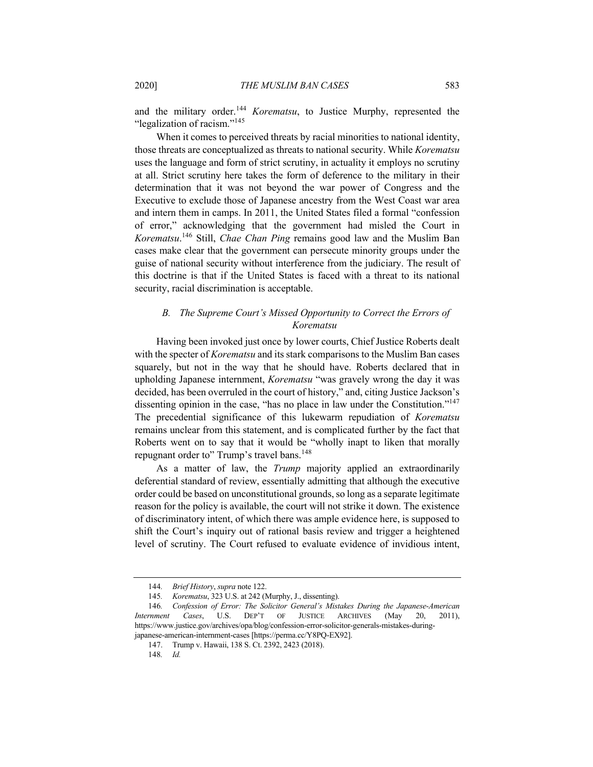and the military order.<sup>144</sup> *Korematsu*, to Justice Murphy, represented the "legalization of racism."<sup>145</sup>

When it comes to perceived threats by racial minorities to national identity, those threats are conceptualized as threats to national security. While *Korematsu*  uses the language and form of strict scrutiny, in actuality it employs no scrutiny at all. Strict scrutiny here takes the form of deference to the military in their determination that it was not beyond the war power of Congress and the Executive to exclude those of Japanese ancestry from the West Coast war area and intern them in camps. In 2011, the United States filed a formal "confession of error," acknowledging that the government had misled the Court in *Korematsu*. <sup>146</sup> Still, *Chae Chan Ping* remains good law and the Muslim Ban cases make clear that the government can persecute minority groups under the guise of national security without interference from the judiciary. The result of this doctrine is that if the United States is faced with a threat to its national security, racial discrimination is acceptable.

# *B. The Supreme Court's Missed Opportunity to Correct the Errors of Korematsu*

Having been invoked just once by lower courts, Chief Justice Roberts dealt with the specter of *Korematsu* and its stark comparisons to the Muslim Ban cases squarely, but not in the way that he should have. Roberts declared that in upholding Japanese internment, *Korematsu* "was gravely wrong the day it was decided, has been overruled in the court of history," and, citing Justice Jackson's dissenting opinion in the case, "has no place in law under the Constitution."<sup>147</sup> The precedential significance of this lukewarm repudiation of *Korematsu* remains unclear from this statement, and is complicated further by the fact that Roberts went on to say that it would be "wholly inapt to liken that morally repugnant order to" Trump's travel bans.<sup>148</sup>

As a matter of law, the *Trump* majority applied an extraordinarily deferential standard of review, essentially admitting that although the executive order could be based on unconstitutional grounds, so long as a separate legitimate reason for the policy is available, the court will not strike it down. The existence of discriminatory intent, of which there was ample evidence here, is supposed to shift the Court's inquiry out of rational basis review and trigger a heightened level of scrutiny. The Court refused to evaluate evidence of invidious intent,

<sup>144</sup>*. Brief History*, *supra* note 122.

<sup>145</sup>*. Korematsu*, 323 U.S. at 242 (Murphy, J., dissenting).

<sup>146</sup>*. Confession of Error: The Solicitor General's Mistakes During the Japanese-American Internment Cases*, U.S. DEP'T OF JUSTICE ARCHIVES (May 20, 2011), https://www.justice.gov/archives/opa/blog/confession-error-solicitor-generals-mistakes-duringjapanese-american-internment-cases [https://perma.cc/Y8PQ-EX92].

<sup>147.</sup> Trump v. Hawaii, 138 S. Ct. 2392, 2423 (2018).

<sup>148</sup>*. Id.*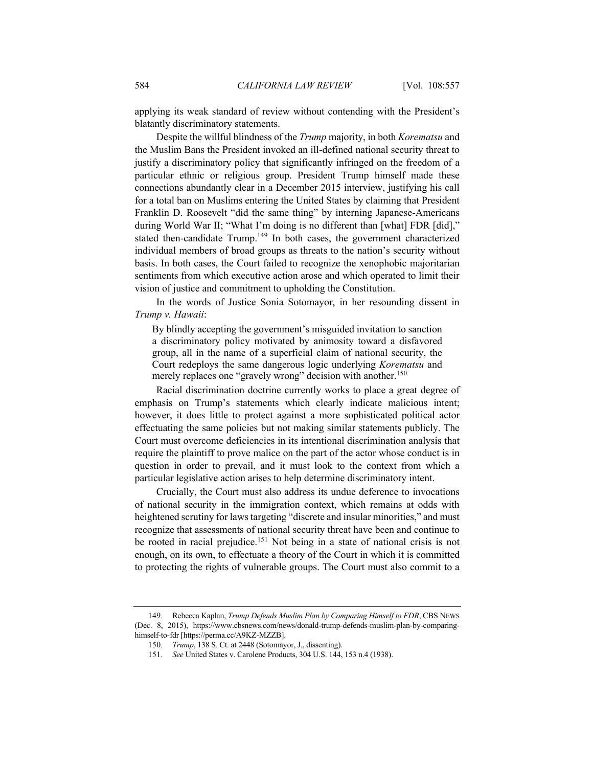applying its weak standard of review without contending with the President's blatantly discriminatory statements.

Despite the willful blindness of the *Trump* majority, in both *Korematsu* and the Muslim Bans the President invoked an ill-defined national security threat to justify a discriminatory policy that significantly infringed on the freedom of a particular ethnic or religious group. President Trump himself made these connections abundantly clear in a December 2015 interview, justifying his call for a total ban on Muslims entering the United States by claiming that President Franklin D. Roosevelt "did the same thing" by interning Japanese-Americans during World War II; "What I'm doing is no different than [what] FDR [did]," stated then-candidate Trump.<sup>149</sup> In both cases, the government characterized individual members of broad groups as threats to the nation's security without basis. In both cases, the Court failed to recognize the xenophobic majoritarian sentiments from which executive action arose and which operated to limit their vision of justice and commitment to upholding the Constitution.

In the words of Justice Sonia Sotomayor, in her resounding dissent in *Trump v. Hawaii*:

By blindly accepting the government's misguided invitation to sanction a discriminatory policy motivated by animosity toward a disfavored group, all in the name of a superficial claim of national security, the Court redeploys the same dangerous logic underlying *Korematsu* and merely replaces one "gravely wrong" decision with another.<sup>150</sup>

Racial discrimination doctrine currently works to place a great degree of emphasis on Trump's statements which clearly indicate malicious intent; however, it does little to protect against a more sophisticated political actor effectuating the same policies but not making similar statements publicly. The Court must overcome deficiencies in its intentional discrimination analysis that require the plaintiff to prove malice on the part of the actor whose conduct is in question in order to prevail, and it must look to the context from which a particular legislative action arises to help determine discriminatory intent.

Crucially, the Court must also address its undue deference to invocations of national security in the immigration context, which remains at odds with heightened scrutiny for laws targeting "discrete and insular minorities," and must recognize that assessments of national security threat have been and continue to be rooted in racial prejudice.<sup>151</sup> Not being in a state of national crisis is not enough, on its own, to effectuate a theory of the Court in which it is committed to protecting the rights of vulnerable groups. The Court must also commit to a

<sup>149.</sup> Rebecca Kaplan, *Trump Defends Muslim Plan by Comparing Himself to FDR*, CBS NEWS (Dec. 8, 2015), https://www.cbsnews.com/news/donald-trump-defends-muslim-plan-by-comparinghimself-to-fdr [https://perma.cc/A9KZ-MZZB].

<sup>150</sup>*. Trump*, 138 S. Ct. at 2448 (Sotomayor, J., dissenting).

<sup>151</sup>*. See* United States v. Carolene Products, 304 U.S. 144, 153 n.4 (1938).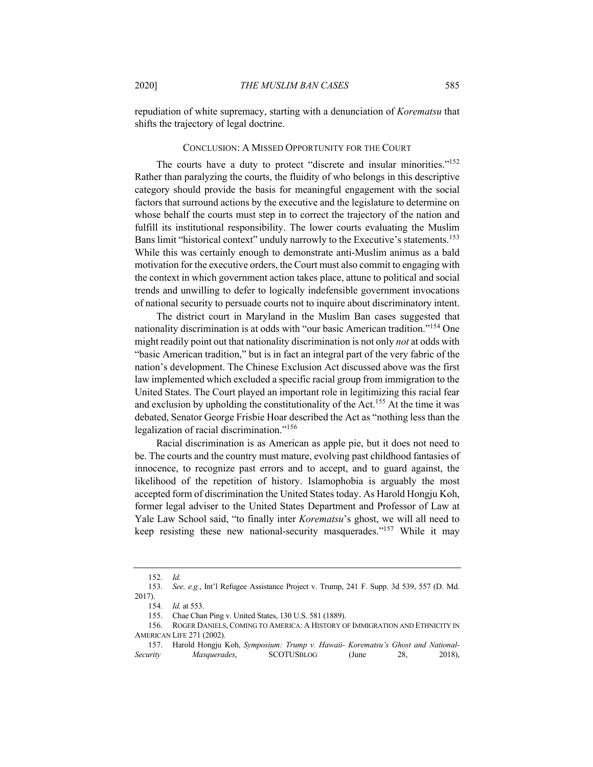repudiation of white supremacy, starting with a denunciation of *Korematsu* that shifts the trajectory of legal doctrine.

## CONCLUSION: A MISSED OPPORTUNITY FOR THE COURT

The courts have a duty to protect "discrete and insular minorities."<sup>152</sup> Rather than paralyzing the courts, the fluidity of who belongs in this descriptive category should provide the basis for meaningful engagement with the social factors that surround actions by the executive and the legislature to determine on whose behalf the courts must step in to correct the trajectory of the nation and fulfill its institutional responsibility. The lower courts evaluating the Muslim Bans limit "historical context" unduly narrowly to the Executive's statements.<sup>153</sup> While this was certainly enough to demonstrate anti-Muslim animus as a bald motivation for the executive orders, the Court must also commit to engaging with the context in which government action takes place, attune to political and social trends and unwilling to defer to logically indefensible government invocations of national security to persuade courts not to inquire about discriminatory intent.

The district court in Maryland in the Muslim Ban cases suggested that nationality discrimination is at odds with "our basic American tradition."154 One might readily point out that nationality discrimination is not only *not* at odds with "basic American tradition," but is in fact an integral part of the very fabric of the nation's development. The Chinese Exclusion Act discussed above was the first law implemented which excluded a specific racial group from immigration to the United States. The Court played an important role in legitimizing this racial fear and exclusion by upholding the constitutionality of the Act.<sup>155</sup> At the time it was debated, Senator George Frisbie Hoar described the Act as "nothing less than the legalization of racial discrimination."<sup>156</sup>

Racial discrimination is as American as apple pie, but it does not need to be. The courts and the country must mature, evolving past childhood fantasies of innocence, to recognize past errors and to accept, and to guard against, the likelihood of the repetition of history. Islamophobia is arguably the most accepted form of discrimination the United States today. As Harold Hongju Koh, former legal adviser to the United States Department and Professor of Law at Yale Law School said, "to finally inter *Korematsu*'s ghost, we will all need to keep resisting these new national-security masquerades."157 While it may

<sup>152</sup>*. Id.*

<sup>153</sup>*. See, e.g.*, Int'l Refugee Assistance Project v. Trump, 241 F. Supp. 3d 539, 557 (D. Md. 2017).

<sup>154</sup>*. Id.* at 553.

<sup>155.</sup> Chae Chan Ping v. United States, 130 U.S. 581 (1889).

<sup>156.</sup> ROGER DANIELS, COMING TO AMERICA: A HISTORY OF IMMIGRATION AND ETHNICITY IN AMERICAN LIFE 271 (2002).

<sup>157.</sup> Harold Hongju Koh, *Symposium: Trump v. Hawaii- Korematsu's Ghost and National-Security Masquerades*, SCOTUSBLOG (June 28, 2018),